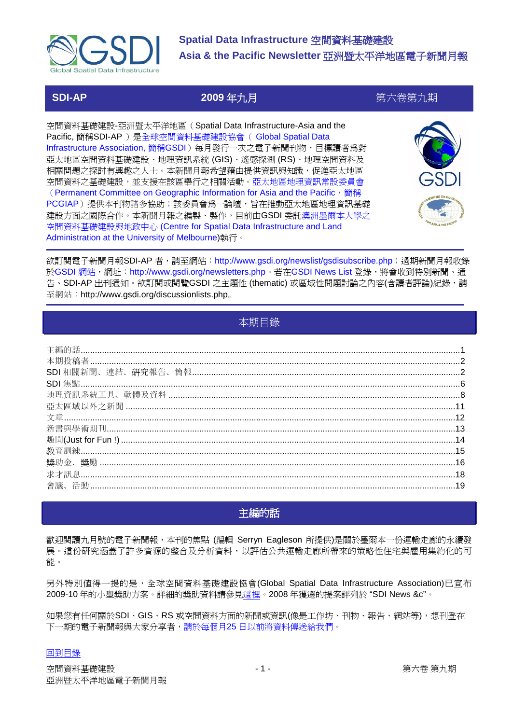

# **SDI-AP 2009** 年九月第六卷第九期

空間資料基礎建設-亞洲暨太平洋地區(Spatial Data Infrastructure-Asia and the Pacific, 簡稱SDI-AP )是全球空間資料基礎建設協會( Global Spatial Data Infrastructure Association, 簡稱GSDI)每月發行一次之電子新聞刊物, 目標讀者爲對 亞太地區空間資料基礎建設、地理資訊系統 (GIS)、遙感探測 (RS)、地理空間資料及 相關問題之探討有興趣之人士。本新聞月報希望藉由提供資訊與知識,促進亞太地區 空間資料之基礎建設,並支援在該區舉行之相關活動。亞太地區地理資訊常設委員會 (Permanent Committee on Geographic Information for Asia and the Pacific, 簡稱 PCGIAP)提供本刊物諸多協助;該委員會為一論壇,旨在推動亞太地區地理資訊基礎 建設方面之國際合作。本新聞月報之編製、製作,目前由GSDI 委託澳洲墨爾本大學之 空間資料基礎建設與地政中心 (Centre for Spatial Data Infrastructure and Land Administration at the University of Melbourne)執行。



欲訂閱電子新聞月報SDI-AP 者,請至網站: http://www.gsdi.org/newslist/gsdisubscribe.php;過期新聞月報收錄 於GSDI 網站,網址: http://www.gsdi.org/newsletters.php。若在GSDI News List 登錄,將會收到特別新聞、通 告、SDI-AP 出刊通知。欲訂閱或閱覽GSDI 之主題性 (thematic) 或區域性問題討論之內容(含讀者評論)紀錄,請 至網站:http://www.gsdi.org/discussionlists.php。

# 本期目錄

<span id="page-0-0"></span>

# 主編的話

<span id="page-0-1"></span>歡迎閱讀九月號的電子新聞報,本刊的焦點 (編輯 Serryn Eagleson 所提供)是關於墨爾本一份運輸走廊的永續發 展。這份研究涵蓋了許多資源的整合及分析資料,以評估公共運輸走廊所帶來的策略性住宅與雇用集約化的可 能。

另外特別值得一提的是,全球空間資料基礎建設協會(Global Spatial Data Infrastructure Association)已宣布 2009-10 年的小型獎助方案。詳細的獎助資料請參[見這裡。](http://www.gsdi.org/newslist/posts/newspostpage.php?PK_ID=152)2008 年獲選的提案詳列於 "SDI News &c"。

如果您有任何關於SDI、GIS、RS 或空間資料方面的新聞或資訊(像是工作坊、刊物、報告、網站等),想刊登在 下一期的電子新聞報與大家分享者,請於每個月25 日以前將資料傳送給我們。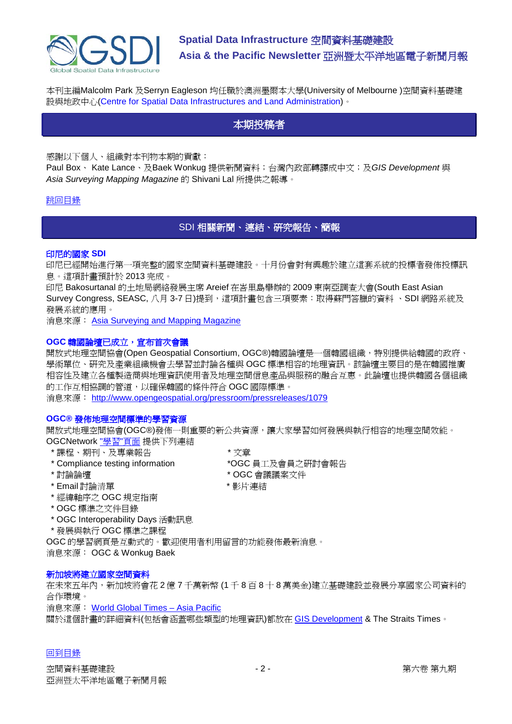

<span id="page-1-0"></span>本刊主編Malcolm Park 及Serryn Eagleson 均任職於澳洲墨爾本大學(University of Melbourne )空間資料基礎建 設與地政中心(Centre for Spatial Data Infrastructures and Land Administration)。

# 本期投稿者

感謝以下個人、組織對本刊物本期的貢獻:

Paul Box、 Kate Lance、及Baek Wonkug 提供新聞資料;台灣內政部轉譯成中文;及*GIS Development* 與 *Asia Surveying Mapping Magazine* 的 Shivani Lal 所提供之報導。

# <span id="page-1-1"></span>[跳回目錄](#page-0-0)

SDI 相關新聞、連結、研究報告、簡報

### 印尼的國家 **SDI**

印尼已經開始進行第一項完整的國家空間資料基礎建設。十月份會對有興趣於建立這套系統的投標者發佈投標訊 息。這項計畫預計於 2013 完成。

印尼 Bakosurtanal 的土地局網絡發展主席 Areief 在峇里島舉辦的 2009 東南亞調查大會(South East Asian Survey Congress, SEASC, 八月 3-7 日)提到,這項計畫包含三項要素:取得蘇門答臘的資料、SDI 網路系統及 發展系統的應用。

消息來源: **[Asia Surveying and Mapping Magazine](http://www.asmmag.com/news/indonesia-s-national-sdi-seasc-report)** 

# **OGC** 韓國論壇已成立,宣布首次會議

開放式地理空間協會(Open Geospatial Consortium, OGC®)韓國論壇是一個韓國組織,特別提供給韓國的政府、 學術單位、研究及產業組織機會去學習並討論各種與 OGC 標準相容的地理資訊。該論壇主要目的是在韓國推廣 相容性及建立各種製造商與地理資訊使用者及地理空間信息產品與服務的融合互惠。此論壇也提供韓國各個組織 的工作互相協調的管道,以確保韓國的條件符合 OGC 國際標準。

消息來源: <http://www.opengeospatial.org/pressroom/pressreleases/1079>

## **OGC®** 發佈地理空間標準的學習資源

開放式地理空間協會(OGC®)發佈一則重要的新公共資源,讓大家學習如何發展與執行相容的地理空間效能。 OGCNetwork "學習"[頁面](http://www.ogcnetwork.net/learn) 提供下列連結

- \* 課程、期刊、及專業報告 \* 文章
- \* Compliance testing information \*OGC 員工及會員之研討會報告
- 
- \* Email 討論清單 \* \* \* \* \* \* 影片連結
- \* 經緯軸序之 OGC 規定指南
- \* OGC 標準之文件目錄
- \* OGC Interoperability Days 活動訊息
- \* 發展與執行 OGC 標準之課程

OGC 的學習網頁是互動式的。歡迎使用者利用留言的功能發佈最新消息。

消息來源: OGC & Wonkug Baek

### 新加坡將建立國家空間資料

在未來五年內,新加坡將會花 2 億 7 千萬新幣 (1 千 8 百 8 十 8 萬美金)建立基礎建設並發展分享國家公司資料的 合作環境。

消息來源: [World Global Times –](http://world.globaltimes.cn/asia-pacific/2009-08/458752.html) Asia Pacific

關於這個計畫的詳細資料(包括會涵蓋哪些類型的地理資訊)都放在 [GIS Development](http://www.gisdevelopment.net/news/viewn.asp?id=GIS:N_eajdhpbovg) & The Straits Times。

- 
- 
- \* 討論論壇 \* \* \* \* \* \* \* 0GC 會議議案文件
	-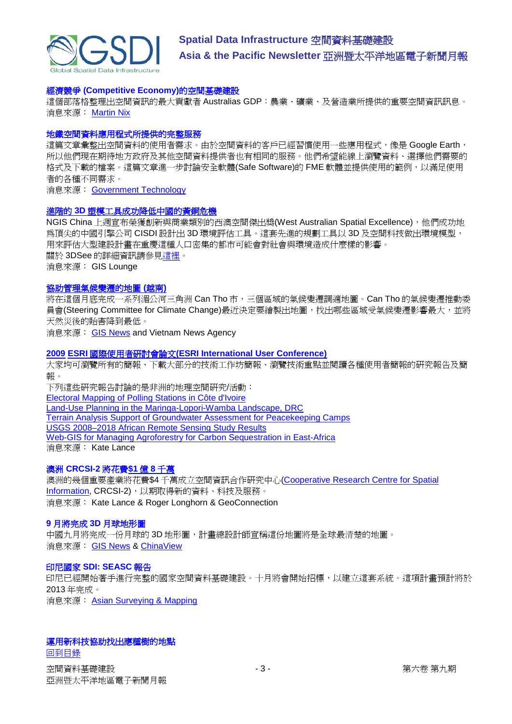

#### 經濟競爭 **(Competitive Economy)**的空間基礎建設

這個部落格整理出空間資訊的最大貢獻者 Australias GDP:農業、礦業、及營造業所提供的重要空間資訊訊息。 消息來源: [Martin Nix](http://www.openforum.com.au/content/spatial-infrastructure-competitive-economy)

#### 地鐵空間資料應用程式所提供的完整服務

這篇文章彙整出空間資料的使用者需求。由於空間資料的客戶已經習慣使用一些應用程式,像是 Google Earth, 所以他們現在期待地方政府及其他空間資料提供者也有相同的服務。他們希望能線上瀏覽資料、選擇他們需要的 格式及下載的檔案。這篇文章進一步討論安全軟體(Safe Software)的 FME 軟體並提供使用的範例,以滿足使用 者的各種不同需求。

消息來源: [Government Technology](http://www.govtech.com/gt/712837)

#### 進階的 **3D** [塑模工具成功降低中國的黃銅危機](http://news.gislounge.com/2009/07/advanced-3d-modelling-tool-wins-for-mitigating-enviro-risk-in-china/)

NGIS China 上週宣布榮獲創新與商業類別的西澳空間傑出獎(West Australian Spatial Excellence), 他們成功地 為頂尖的中國引擎公司 CISDI 設計出 3D 環境評估工具。這套先進的規劃工具以 3D 及空間科技做出環境模型, 用來評估大型建設計畫在重慶這種人口密集的都市可能會對社會與環境造成什麼樣的影響。 關於 3DSee 的詳細資訊請參[見這裡。](http://www.ngis.com.au/Products/3DSee/default.aspx) 消息來源: GIS Lounge

#### [協助管理氣候變遷的地圖](http://vietnamnews.vnagency.com.vn/showarticle.php?num=04MIS270709) **(**越南**)**

將在這個月底完成一系列湄公河三角洲 Can Tho 市,三個區域的氣候變遷調適地圖。Can Tho 的氣候變遷推動委 員會(Steering Committee for Climate Change)最近決定要繪製出地圖,找出哪些區域受氣候變遷影響最大,並將 天然災後的貽害降到最低。

消息來源: [GIS News](http://www.gisdevelopment.net/news/viewn.asp?id=GIS:N_nmoxwdptic&Ezine=aug0309§ion=News) and Vietnam News Agency

#### **2009 ESRI** 國際使用者研討會論文**(ESRI [International User Conference\)](http://dup.esrin.esa.int/files/Project/131-176-149-30_2005425102143.gif)**

大家均可瀏覽所有的簡報、下載大部分的技術工作坊簡報、瀏覽技術重點並閱讀各種使用者簡報的研究報告及簡 報。

下列這些研究報告討論的是非洲的地理空間研究/活動: [Electoral Mapping of Polling Stations in Côte d'Ivoire](http://proceedings.esri.com/library/userconf/proc09/uc/abstracts/a1771.html) [Land-Use Planning in the Maringa-Lopori-Wamba Landscape, DRC](http://proceedings.esri.com/library/userconf/proc09/uc/abstracts/a1771.html) [Terrain Analysis Support of Groundwater Assessment for Peacekeeping Camps](http://proceedings.esri.com/library/userconf/proc09/uc/abstracts/a1766.html) [USGS 2008–2018 African Remote Sensing Study Results](http://proceedings.esri.com/library/userconf/proc09/uc/abstracts/a1012.html) [Web-GIS for Managing Agroforestry for Carbon Sequestration in East-Africa](http://proceedings.esri.com/library/userconf/proc09/uc/abstracts/a1485.html) 消息來源: Kate Lance

# 澳洲 **[CRCSI-2](http://www.geoconnexion.com/geo_news_article/$180-million-dedicated-to-the-Australian-CRCSI-2/6312)** 將花費**\$1** 億 **8** 千萬

澳洲的幾個重要產業將花費\$4 千萬成立空間資訊合作研究中心[\(Cooperative Research Centre for Spatial](http://crcsi2.com.au/)  [Information,](http://crcsi2.com.au/) CRCSI-2), 以期取得新的資料、科技及服務。 消息來源: Kate Lance & Roger Longhorn & GeoConnection

#### **9** 月將完成 **3D** 月球地形圖

中國九月將完成一份月球的 3D 地形圖,計畫總設計師宣稱這份地圖將是全球最清楚的地圖。 消息來源: [GIS News](http://www.gisdevelopment.net/news/viewn.asp?id=GIS:N_eyvzwdtfoh&Ezine=aug1009§ion=News) & [ChinaView](http://news.xinhuanet.com/english/2009-08/05/content_11830895.htm)

#### 印尼國家 **[SDI: SEASC](http://www.asmmag.com/news/indonesia-s-national-sdi-seasc-report)** 報告

印尼已經開始著手進行完整的國家空間資料基礎建設。十月將會開始招標,以建立這套系統。這項計畫預計將於 2013 年完成。 消息來源: [Asian Surveying & Mapping](http://www.asmmag.com/news/indonesia-s-national-sdi-seasc-report)

### 運用新科技協助找出應種樹的地點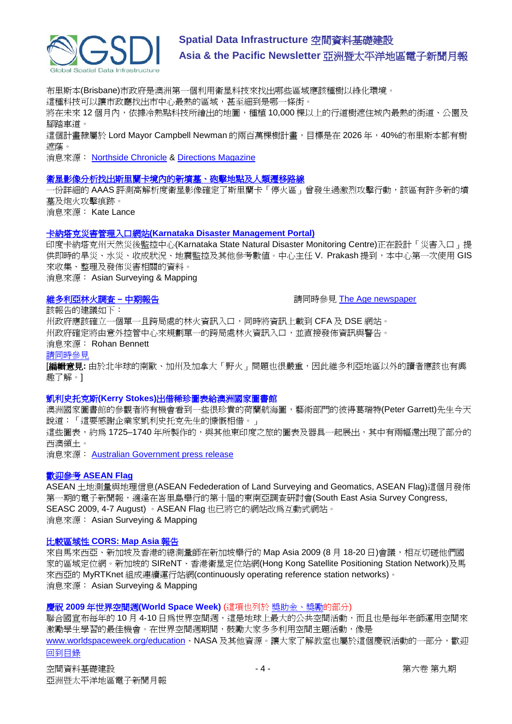

布里斯本(Brisbane)市政府是澳洲第一個利用衛星科技來找出哪些區域應該種樹以綠化環境。 這種科技可以讓市政廳找出市中心最熱的區域,甚至細到是哪一條街。 將在未來 12個月內,依據冷熱點科技所繪出的地圖,種植 10,000 棵以上的行道樹遮住城內最熱的街道、公園及 腳踏車道。

這個計畫隸屬於 Lord Mayor Campbell Newman 的兩百萬棵樹計畫,目標是在 2026 年,40%的布里斯本都有樹 遮蔭。

消息來源: [Northside Chronicle](http://northside-chronicle.whereilive.com.au/news/story/new-technology-helps-identify-right-location-for-trees/) & [Directions](http://apb.directionsmag.com/archives/6291-Using-Satellite-Imagery-to-Locate-Trees-for-Urban-Cooling.html) Magazine

#### [衛星影像分析找出斯里蘭卡境內的新墳墓、砲擊地點及人類遷移路線](http://www.aaas.org/news/releases/2009/0812sri_lanka.shtml)

一份詳細的 AAAS 評測高解析度衛星影像確定了斯里蘭卡「停火區」曾發生過激烈攻擊行動,該區有許多新的墳 墓及炮火攻擊痕跡。

消息來源: Kate Lance

#### 卡納塔克災害管理入口網站**[\(Karnataka Disaster Management Portal\)](http://www.asmmag.com/news/karnataka-disaster-management-portal)**

印度卡納塔克州天然災後監控中心(Karnataka State Natural Disaster Monitoring Centre)正在設計「災害入口」提 供即時的旱災、水災、收成狀況、地震監控及其他參考數值。中心主任 V. Prakash 提到,本中心第一次使用 GIS 來收集、整理及發佈災害相關的資料。

消息來源: Asian Surveying & Mapping

**維多利亞林火調査 – 中期報告 インフィッション インフィック 青同時參見 [The Age newspaper](http://www.theage.com.au/national/bushfires-royal-commission-the-recommendations-20090817-en90.html)** 

該報告的建議如下:

州政府應該確立一個單一且跨局處的林火資訊入口,同時將資訊上載到 CFA 及 DSE 網站。 州政府確定將由意外控管中心來規劃單一的跨局處林火資訊入口,並直接發佈資訊與警告。

消息來源: Rohan Bennett

[請同時參見](http://apb.directionsmag.com/archives/6332-Victoria-Fires-Report-Offers-Suggestions;-Reporter-Harps-on-LBS.html)

[編輯意見**:** 由於北半球的南歐、加州及加拿大「野火」問題也很嚴重,因此維多利亞地區以外的讀者應該也有興 趣了解。]

#### 凱利史托克斯**(Kerry Stokes)**出借稀珍圖表給澳洲國家圖書館

澳洲國家圖書館的參觀者將有機會看到一些很珍貴的荷蘭航海圖,藝術部門的彼得葛瑞特(Peter Garrett)先生今天 說道:「這要感謝企業家凱利史托克先生的慷慨相借。」

這些圖表,約為 1725–1740 年所製作的,與其他東印度之旅的圖表及器具一起展出,其中有兩幅還出現了部分的 西澳領土。

消息來源: [Australian Government press release](http://www.environment.gov.au/minister/garrett/2009/mr20090813.html)

### 歡迎參考 **[ASEAN Flag](http://www.aseanflag.org.bn/MAIN.htm)**

ASEAN 土地測量與地理信息(ASEAN Fedederation of Land Surveying and Geomatics, ASEAN Flag)這個月發佈 第一期的電子新聞報,適逢在峇里島舉行的第十屆的東南亞調查研討會(South East Asia Survey Congress, SEASC 2009, 4-7 August) 。ASEAN Flag 也已將它的網站改為互動式網站。 消息來源: Asian Surveying & Mapping

#### 比較區域性 **[CORS: Map Asia](http://www.asmmag.com/news/comparing-regional-cors-map-asia-report)** 報告

來自馬來西亞、新加坡及香港的總測量師在新加坡舉行的 Map Asia 2009 (8 月 18-20 日)會議,相互切磋他們國 家的區域定位網。新加坡的 SIReNT、香港衛星定位站網(Hong Kong Satellite Positioning Station Network)及馬 來西亞的 MyRTKnet 組成連續運行站網(continuously operating reference station networks)。 消息來源: Asian Surveying & Mapping

## 慶祝 **2009** 年世界空間週**(World Space Week)** (這項也列於 獎助金、獎勵的部分)

[回到目錄](#page-0-0) 聯合國宣布每年的 10月 4-10日為世界空間週,這是地球上最大的公共空間活動,而且也是每年老師運用空間來 激勵學生學習的最佳機會。在世界空間週期間,鼓勵大家多多利用空間主題活動,像是 [www.worldspaceweek.org/education](http://www.worldspaceweek.org/education)、NASA 及其他資源。讓大家了解教室也屬於這個慶祝活動的一部分,歡迎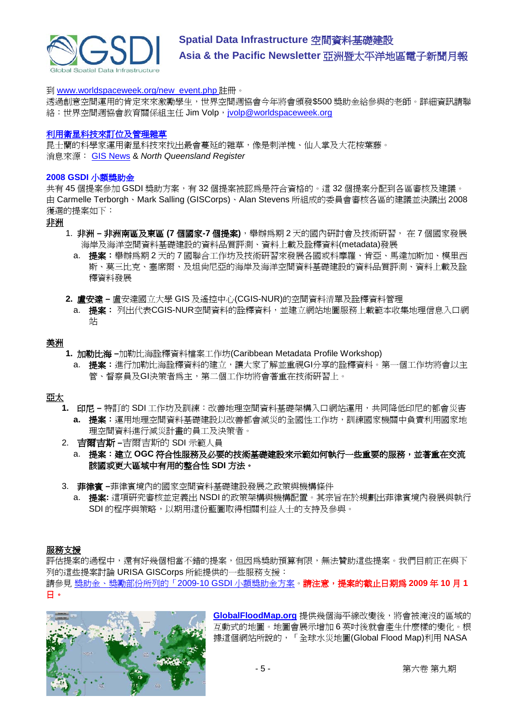

到 [www.worldspaceweek.org/new\\_event.php](http://www.worldspaceweek.org/new_event.php) 註冊。

透過創意空間運用的肯定來來激勵學生,世界空間週協會今年將會頒發\$500 獎助金給參與的老師。詳細資訊請聯 絡:世界空間週協會教育關係組主任 Jim Volp, [jvolp@worldspaceweek.org](mailto:jvolp@worldspaceweek.org)

#### [利用衛星科技來訂位及管理雜草](http://nqr.farmonline.com.au/news/state/agribusiness-and-general/general/scientists-look-skyward-to-locate-weeds/1601892.aspx?storypage=0)

昆士蘭的科學家運用衛星科技來找出最會蔓延的雜草,像是刺洋槐、仙人掌及大花桉葉藤。 消息來源: [GIS News](http://www.gisdevelopment.net/news/viewn.asp?id=GIS:N_dkpjruotmg&Ezine=aug2409§ion=News) & *North Queensland Register*

#### **2008 GSDI** 小額獎助金

共有 45 個提案參加 GSDI 獎助方案,有 32 個提案被認為是符合資格的。這 32 個提案分配到各區審核及建議。 由 Carmelle Terborgh、Mark Salling (GISCorps)、Alan Stevens 所組成的委員會審核各區的建議並決議出 2008 獲選的提案如下:

#### 非洲

- 1. 非洲 **–** 非洲南區及東區 **(7** 個國家**-7** 個提案**)**,舉辦為期 2 天的國內研討會及技術研習, 在 7 個國家發展 海岸及海洋空間資料基礎建設的資料品質評測、資料上載及詮釋資料(metadata)發展
	- a. 提案:舉辦為期 2 天的 7 國聯合工作坊及技術研習來發展各國或科摩羅、肯亞、馬達加斯加、模里西 斯、莫三比克、塞席爾、及坦尚尼亞的海岸及海洋空間資料基礎建設的資料品質評測、資料上載及詮 釋資料發展
- **2.** 盧安達 **–** 盧安達國立大學 GIS 及遙控中心(CGIS-NUR)的空間資料清單及詮釋資料管理
	- a. 提案: 列出代表CGIS-NUR空間資料的詮釋資料,並建立網站地圖服務上載範本收集地理信息入口網 站

# 美洲

- **1.** 加勒比海 **–**加勒比海詮釋資料檔案工作坊(Caribbean Metadata Profile Workshop)
	- a. 提案:淮行加勒比海詮釋資料的建立,讓大家了解並重視GI分享的詮釋資料。第一個工作坊將會以主 管、督察員及GI決策者為主,第二個工作坊將會著重在技術研習上。

# 亞太

- **1.** 印尼 **–** 特訂的 SDI 工作坊及訓練:改善地理空間資料基礎架構入口網站運用,共同降低印尼的都會災害 **a.** 提案:運用地理空間資料基礎建設以改善都會減災的全國性工作坊,訓練國家機關中負責利用國家地 理空間資料進行減災計畫的員工及決策者。
- 2. 吉爾吉斯 **–**吉爾吉斯的 SDI 示範人員
	- a. 提案:建立 **OGC** 符合性服務及必要的技術基礎建設來示範如何執行一些重要的服務,並著重在交流 該國或更大區域中有用的整合性 **SDI** 方法。
- 3. 菲律賓 **–**菲律賓境內的國家空間資料基礎建設發展之政策與機構條件
	- a. 提案**:** 這項研究審核並定義出 NSDI 的政策架構與機構配置。其宗旨在於規劃出菲律賓境內發展與執行 SDI 的程序與策略,以期用這份藍圖取得相關利益人士的支持及參與。

# 服務支援

評估提案的過程中,還有好幾個相當不錯的提案,但因為獎助預算有限,無法贊助這些提案。我們目前正在與下 列的這些提案討論 URISA GISCorps 所能提供的一些服務支援: 請參見 獎助金、獎勵部份所列的「2009-10 GSDI 小額獎助金方案。請注意,提案的截止日期為 **2009** 年 **10** 月 **1** 日。



**[GlobalFloodMap.org](http://newsletter.directionsmag.com/link.php?M=145624&N=1934&L=27490)** 提供幾個海平線改變後,將會被淹沒的區域的 互動式的地圖。地圖會展示增加 6 英吋後就會產生什麼樣的變化。根 據這個網站所說的,「全球水災地圖(Global Flood Map)利用 NASA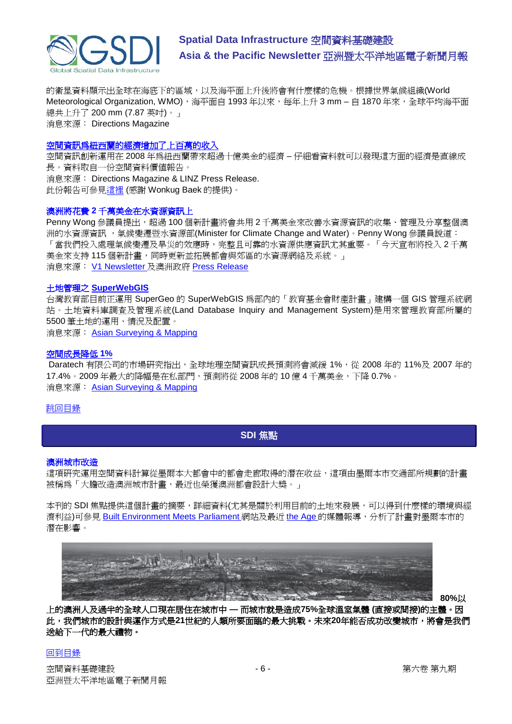

的衛星資料顯示出全球在海底下的區域,以及海平面上升後將會有什麼樣的危機。根據世界氣候組織(World Meteorological Organization, WMO),海平面自 1993 年以來,每年上升 3 mm – 自 1870 年來,全球平均海平面 總共上升了 200 mm (7.87 英吋)。」 消息來源: Directions Magazine

#### 空間資訊爲紐西蘭的經濟增加了上百萬的收入

空間資訊創新運用在 2008 年為紐西蘭帶來超過十億美金的經濟 – 仔細看資料就可以發現這方面的經濟是直線成 長。資料取自一份空間資料價值報告。

消息來源: Directions Magazine & LINZ Press Release. 此份報告可參[見這裡](http://www.geospatial.govt.nz/productivityreport) (感謝 Wonkug Baek 的提供)。

#### 澳洲將花費 **2** 千萬美金在水資源資訊上

Penny Wong 參議員提出,超過 100 個新計書將會共用 2 千萬美金來改善水資源資訊的收集、管理及分享整個澳 洲的水資源資訊,氣候變遷暨水資源部(Minister for Climate Change and Water)。Penny Wong 參議員說道: 「當我們投入處理氣候變遷及旱災的效應時,完整且可靠的水資源供應資訊尤其重要。「今天宣布將投入 2 千萬 美金來支持 115 個新計畫,同時更新並拓展都會與郊區的水資源網絡及系統。」 消息來源: [V1 Newsletter](http://www.vector1media.com/headlines/headlines/australia-to-spend-%2420-million-on-water-information/) 及澳洲政府 [Press Release](http://www.environment.gov.au/minister/wong/2009/pubs/mr20090818.pdf)

#### 土地管理之 **[SuperWebGIS](http://www.supergeotek.com/news.aspx?Type=Company&ID=513)**

台灣教育部目前正運用 SuperGeo 的 SuperWebGIS 為部內的「教育基金會財產計畫」建構一個 GIS 管理系統網 站。土地資料庫調查及管理系統(Land Database Inquiry and Management System)是用來管理教育部所屬的 5500 筆土地的運用、情況及配置。

消息來源: [Asian Surveying & Mapping](http://www.asmmag.com/news)

## [空間成長降低](http://www.daratech.com/press/releases/2009/091908.html) **1%**

Daratech 有限公司的市場研究指出,全球地理空間資訊成長預測將會減緩 1%, 從 2008 年的 11%及 2007 年的 17.4%。2009 年最大的降幅是在私部門,預測將從 2008 年的 10 億 4 千萬美金,下降 0.7%。 消息來源: [Asian Surveying & Mapping](http://www.asmmag.com/news)

## <span id="page-5-0"></span>[跳回目錄](#page-0-0)

# **SDI** 焦點

#### 澳洲城市改造

這項研究運用空間資料計算從墨爾本大都會中的都會走廊取得的潛在收益,這項由墨爾本市交通部所規劃的計畫 被稱為「大膽改造澳洲城市計畫,最近也榮獲澳洲都會設計大獎。」

本刊的 SDI 焦點提供這個計畫的摘要,詳細資料(尤其是關於利用目前的土地來發展,可以得到什麼樣的環境與經 濟利益)可參見 [Built Environment Meets Parliament](http://www.bedp.asn.au/papers/docs/Transforming_Australian_Cities__Report_July_09.PDF) 網站及最近 [the Age](http://www.theage.com.au/national/home-squeeze-on-suburbs-20090814-el8e.html?skin=text-only) 的媒體報導, 分析了計畫對墨爾本市的 潛在影響。



**80%**以

上的澳洲人及過半的全球人口現在居住在城市中 **—** 而城市就是造成**75%**全球溫室氣體 **(**直接或間接**)**的主體。因 此,我們城市的設計與運作方式是**21**世紀的人類所要面臨的最大挑戰。未來**20**年能否成功改變城市,將會是我們 送給下一代的最大禮物。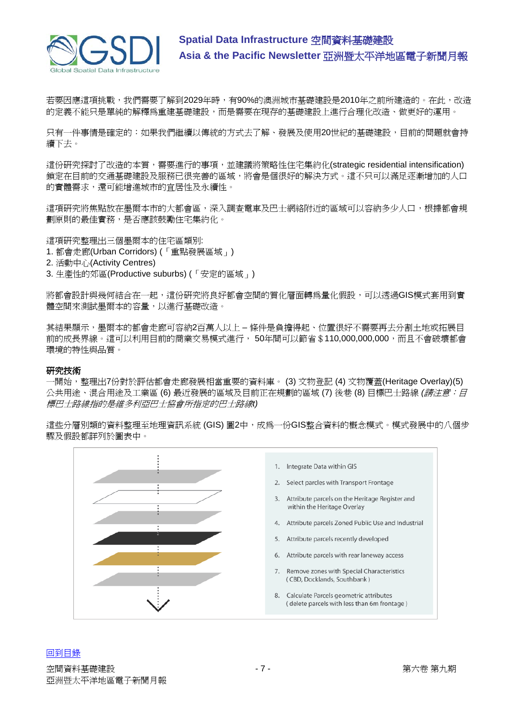

若要因應這項挑戰,我們需要了解到2029年時,有90%的澳洲城市基礎建設是2010年之前所建造的。在此,改造 的定義不能只是單純的解釋為重建基礎建設,而是需要在現存的基礎建設上進行合理化改造、做更好的運用。

只有一件事情是確定的:如果我們繼續以傳統的方式去了解、發展及使用20世紀的基礎建設,目前的問題就會持 續下去。

這份研究探討了改造的本質,需要進行的事項,並建議將策略性住宅集約化(strategic residential intensification) 鎖定在目前的交通基礎建設及服務已很完善的區域,將會是個很好的解決方式。這不只可以滿足逐漸增加的人口 的實體需求,還可能增進城市的宜居性及永續性。

這項研究將焦點放在墨爾本市的大都會區,深入調查電車及巴士網絡附近的區域可以容納多少人口,根據都會規 劃原則的最佳實務,是否應該鼓勵住宅集約化。

這項研究整理出三個墨爾本的住宅區類別:

- 1. 都會走廊(Urban Corridors) (「重點發展區域」)
- 2. 活動中心(Activity Centres)
- 3. 生產性的郊區(Productive suburbs) (「安定的區域」)

將都會設計與幾何結合在一起,這份研究將良好都會空間的質化層面轉為量化假設,可以透過GIS模式套用到實 體空間來測試墨爾本的容量,以進行基礎改造。

其結果顯示,墨爾本的都會走廊可容納2百萬人以上 – 條件是負擔得起、位置很好不需要再去分割土地或拓展目 前的成長界線。這可以利用目前的商業交易模式進行, 50年間可以節省\$110,000,000,000,而且不會破壞都會 環境的特性與品質。

#### 研究技術

一開始,整理出7份對於評估都會走廊發展相當重要的資料庫。 (3) 文物登記 (4) 文物覆蓋(Heritage Overlay)(5) 公共用途、混合用途及工業區 (6) 最近發展的區域及目前正在規劃的區域 (7) 後巷 (8) 目標巴士路線 *(*請注意:目 標巴士路線指的是維多利亞巴士協會所指定的巴士路線*t)*

這些分層別類的資料整理至地理資訊系統 (GIS) 圖2中,成為一份GIS整合資料的概念模式。模式發展中的八個步 驟及假設都詳列於圖表中。

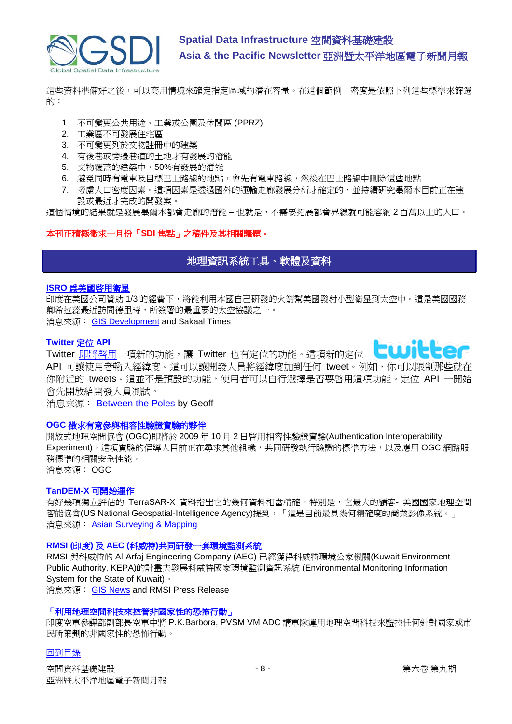

這些資料準備好之後,可以套用情境來確定指定區域的潛在容量。在這個範例,密度是依照下列這些標準來篩選 的:

- 1. 不可變更公共用途、工業或公園及休閒區 (PPRZ)
- 2. 工業區不可發展住宅區
- 3. 不可變更列於文物註冊中的建築
- 4. 有後巷或旁邊巷道的土地才有發展的潛能
- 5. 文物覆蓋的建築中,50%有發展的潛能
- 6. 避免同時有電車及目標巴士路線的地點,會先有電車路線,然後在巴士路線中刪除這些地點
- 7. 考慮人口密度因素。這項因素是透過國外的運輸走廊發展分析才確定的,並持續研究墨爾本目前正在建 設或最近才完成的開發案。

這個情境的結果就是發展墨爾本都會走廊的潛能 – 也就是,不需要拓展都會界線就可能容納 2 百萬以上的人口。

# <span id="page-7-0"></span>本刊正積極徵求十月份「**SDI** 焦點」之稿件及其相關議題。

# 地理資訊系統工具、軟體及資料

#### **ISRO** [為美國啟用衛星](http://www.sakaaltimes.com/2009/07/29211658/ISRO-to-launch-US-satellites.html)

印度在美國公司贊助 1/3 的經費下,將能利用本國自己研發的火箭幫美國發射小型衛星到太空中。這是美國國務 卿希拉蕊最近訪問德里時,所簽署的最重要的太空協議之一。 消息來源: [GIS Development](http://www.gisdevelopment.net/news/viewn.asp?id=GIS:N_vsnaoyuiec&Ezine=aug0309§ion=News) and Sakaal Times

#### **Twitter** 定位 **API**



Twitter 即將啓用一項新的功能,讓 Twitter 也有定位的功能。這項新的定位 API 可讓使用者輸入經緯度。這可以讓開發人員將經緯度加到任何 tweet。例如,你可以限制那些就在 你附近的 tweets。這並不是預設的功能,使用者可以自行選擇是否要啓用這項功能。定位 API 一開始 會先開放給開發人員測試。

消息來源: [Between the Poles](http://geospatial.blogs.com/geospatial/2009/08/twitter-geolocation-api.html) by Geoff

### **OGC** [徵求有意參與相容性驗證實驗的夥伴](http://www.opengeospatial.org/pressroom/pressreleases/1073)

開放式地理空間協會 (OGC)即將於 2009 年 10 月 2 日啟用相容性驗證實驗(Authentication Interoperability Experiment)。這項實驗的倡導人目前正在尋求其他組織,共同研發執行驗證的標準方法,以及應用 OGC 網路服 務標準的相關安全性能。 消息來源: OGC

# **[TanDEM-X](http://www.asmmag.com/news/Terrasar-x)** 可開始運作

有好幾項獨立評估的 TerraSAR-X 資料指出它的幾何資料相當精確。特別是,它最大的顧客-美國國家地理空間 智能協會(US National Geospatial-Intelligence Agency)提到,「這是目前最具幾何精確度的商業影像系統。」 消息來源: [Asian Surveying & Mapping](http://www.asmmag.com/news/Terrasar-x)

# **RMSI (**印度**)** 及 **AEC (**科威特**)**共同研發一套環境監測系統

RMSI 與科威特的 Al-Arfaj Engineering Company (AEC) 已經獲得科威特環境公家機關(Kuwait Environment Public Authority, KEPA)的計畫去發展科威特國家環境監測資訊系統 (Environmental Monitoring Information System for the State of Kuwait)。

消息來源: [GIS News](http://www.gisdevelopment.net/news/viewn.asp?id=GIS:N_mwpceqzvtf) and RMSI Press Release

#### 「利用地理空間科技來控管非國家性的恐怖行動」

印度空軍參謀部副部長空軍中將 P.K.Barbora, PVSM VM ADC 請軍隊運用地理空間科技來監控任何針對國家或市 民所策劃的非國家性的恐怖行動。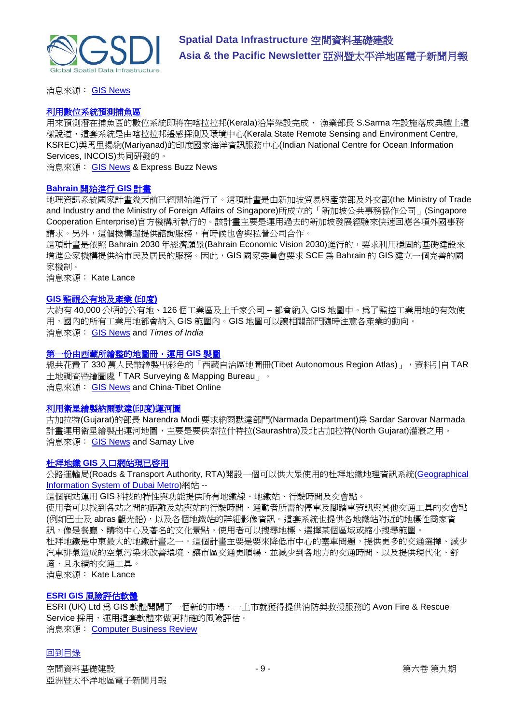

消息來源: [GIS News](http://www.gisdevelopment.net/news/viewn.asp?id=GIS:N_kdprsngytx&Ezine=aug0309§ion=News)

#### [利用數位系統預測捕魚區](http://www.expressbuzz.com/edition/story.aspx?Title=Digital+system+to++predict+fis&artid=vuDa2u7EhWg=&SectionID=lMx/b5mt1kU=&MainSectionID=lMx/b5mt1kU=&SEO=&SectionName=tm2kh5uDhixGlQvAG42A/07OVZOOEmts)

用來預測潛在捕魚區的數位系統即將在喀拉拉邦(Kerala)沿岸架設完成, 漁業部長 S.Sarma 在設施落成典禮上這 樣說道,這套系統是由喀拉拉邦遙感探測及環境中心(Kerala State Remote Sensing and Environment Centre, KSREC)與馬里揚納(Mariyanad)的印度國家海洋資訊服務中心(Indian National Centre for Ocean Information Services, INCOIS)共同研發的。

消息來源: [GIS News](http://www.gisdevelopment.net/news/viewn.asp?id=GIS:N_mpicqwuzol&Ezine=aug0309§ion=News) & Express Buzz News

#### **Bahrain** [開始進行](http://english.bna.bh/?ID=80801) **GIS** 計畫

地理資訊系統國家計畫幾天前已經開始進行了。這項計畫是由新加坡貿易與產業部及外交部(the Ministry of Trade and Industry and the Ministry of Foreign Affairs of Singapore)所成立的「新加坡公共事務協作公司」(Singapore Cooperation Enterprise)官方機構所執行的。該計畫主要是運用過去的新加坡發展經驗來快速回應各項外國事務 請求。另外,這個機構還提供諮詢服務,有時候也會與私營公司合作。

這項計畫是依照 Bahrain 2030 年經濟願景(Bahrain Economic Vision 2030)進行的, 要求利用穩固的基礎建設來 增進公家機構提供給市民及居民的服務。因此,GIS 國家委員會要求 SCE 為 Bahrain 的 GIS 建立一個完善的國 家機制。

消息來源: Kate Lance

# **GIS** [監視公有地及產業](http://timesofindia.indiatimes.com/NEWS/City/Bangalore/GIS-to-keep-an-eye-on-govt-land-industries/articleshow/4831724.cms) **(**印度**)**

大約有 40,000 公頃的公有地、126 個工業區及上千家公司 – 都會納入 GIS 地圖中。為了監控工業用地的有效使 用,國內的所有工業用地都會納入 GIS 範圍內。GIS 地圖可以讓相關部門隨時注意各產業的動向。 消息來源: [GIS News](http://www.gisdevelopment.net/news/viewn.asp?id=GIS:N_xuyjqwtgop&Ezine=aug0309§ion=News) and *Times of India*

#### [第一份由西藏所繪整的地圖冊,運用](http://chinatibet.people.com.cn/6718503.html) **GIS** 製圖

總共花費了 330 萬人民幣繪製出彩色的「西藏自治區地圖冊(Tibet Autonomous Region Atlas)」, 資料引自 TAR 土地調查暨繪圖處「TAR Surveying & Mapping Bureau」。 消息來源: [GIS News](http://www.gisdevelopment.net/news/viewn.asp?id=GIS:N_xargpmvhjy) and China-Tibet Online

#### [利用衛星繪製納爾默達](http://www.samaylive.com/news/modi-stresses-on-satellitebased-mapping-of-narmada-canals/643049.html)**(**印度**)**運河圖

古加拉特(Gujarat)的部長 Narendra Modi 要求納爾默達部門(Narmada Department)為 Sardar Sarovar Narmada 計畫運用衛星繪製出運河地圖,主要是要供索拉什特拉(Saurashtra)及北古加拉特(North Gujarat)灌漑之用。 消息來源: [GIS News](http://www.gisdevelopment.net/news/viewn.asp?id=GIS:N_swkdqfhrvg) and Samay Live

#### 杜拜地鐵 **GIS** [入口網站現已啟](http://www.menafn.com/qn_news_story_s.asp?StoryId=1093263227)用

公路運輸局(Roads & Transport Authority, RTA)開設一個可以供大眾使用[的杜拜地鐵地理資訊系統](http://metrogis.rta.ae/)(Geographical [Information System of Dubai Metro\)](http://metrogis.rta.ae/)網站 --

這個網站運用 GIS 科技的特性與功能提供所有地鐵線、地鐵站、行駛時間及交會點。

使用者可以找到各站之間的距離及站與站的行駛時間、通勤者所需的停車及腳踏車資訊與其他交通工具的交會點 (例如巴士及 abras 觀光船),以及各個地鐵站的詳細影像資訊。這套系統也提供各地鐵站附近的地標性商家資 訊,像是餐廳、購物中心及著名的文化景點。使用者可以搜尋地標、選擇某個區域或縮小搜尋範圍。 杜拜地鐵是中東最大的地鐵計畫之一。這個計畫主要是要來降低市中心的塞車問題,提供更多的交通選擇、減少 汽車排氣造成的空氣污染來改善環境、讓市區交通更順暢、並減少到各地方的交通時間、以及提供現代化、舒 適、且永續的交通工具。

消息來源: Kate Lance

#### **ESRI GIS** [風險評估軟體](http://www.gisdevelopment.net/news/viewn.asp?id=GIS:N_vlywoacxdi&Ezine=aug1009§ion=News)

ESRI (UK) Ltd 為 GIS 軟體開闢了一個新的市場,一上市就獲得提供消防與救援服務的 Avon Fire & Rescue Service 採用,運用這套軟體來做更精確的風險評估。 消息來源: [Computer Business Review](http://www.cbronline.com/news/fire_service_starts_out_with_gis_030809)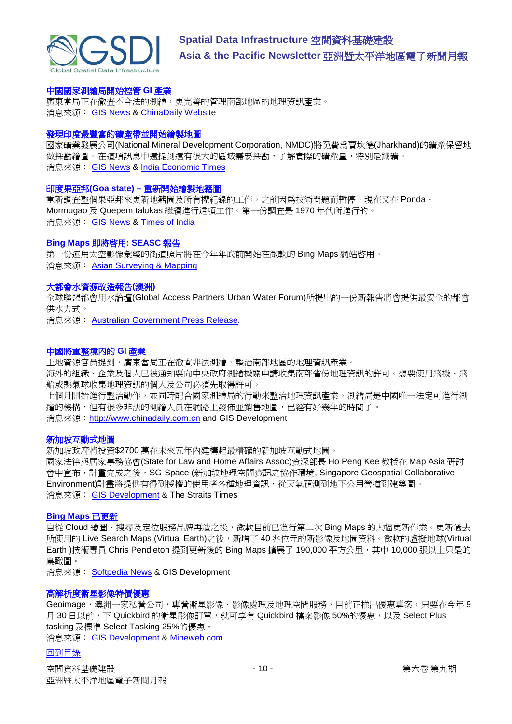

### 中國國家測繪局開始控管 **GI** 產業

廣東當局正在徹查不合法的測繪,更完善的管理南部地區的地理資訊產業。 消息來源: [GIS News](http://www.gisdevelopment.net/news/viewn.asp?id=GIS:N_jpegukasit) & [ChinaDaily Website](http://www.chinadaily.com.cn/china/2009-08/11/content_8552513.htm)

#### 發現印度最豐富的礦產帶並開始繪製地圖

國家礦業發展公司(National Mineral Development Corporation, NMDC)將免費為賈坎德(Jharkhand)的礦產保留地 做探勘繪圖。在這項訊息中還提到還有很大的區域需要探勘,了解實際的礦產量,特別是鐵礦。 消息來源: [GIS News](http://www.gisdevelopment.net/news/viewn.asp?id=GIS:N_ahixsrwpco&Ezine=aug1009§ion=News) & [India Economic Times](http://economictimes.indiatimes.com/News/News-By-Industry/NMDC-to-conduct-free-mapping-of-Jharkhands-mineral-reserves/articleshow/4857296.cms)

#### 印度果亞邦**(Goa state) –** 重新開始繪製地籍圖

重新調查整個果亞邦來更新地籍圖及所有權紀錄的工作。之前因為技術問題而暫停,現在又在 Ponda、 Mormugao 及 Quepem talukas 繼續進行這項工作。第一份調查是 1970 年代所進行的。 消息來源: [GIS News](http://www.gisdevelopment.net/news/viewn.asp?id=GIS:N_lvidtwzfsm&Ezine=aug1009§ion=News) & [Times of India](http://timesofindia.indiatimes.com/articleshow/4835769.cms)

#### **Bing Maps** 即將啓用: SEASC 報告

第一份運用太空影像彙整的街道照片將在今年年底前開始在微軟的 Bing Maps 網站啓用。 消息來源: [Asian Surveying & Mapping](http://www.asmmag.com/news/bing-maps-coming-soon)

#### 大都會水資源改造報告**(**澳洲**)**

全球聯盟都會用水論壇(Global Access Partners Urban Water Forum)所提出的一份新報告將會提供最安全的都會 供水方式。

消息來源: [Australian Government Press Release.](http://www.environment.gov.au/minister/kelly/2009/mr20090804.html)

#### [中國將重整境內的](http://www.gisdevelopment.net/news/viewn.asp?id=GIS:N_jpegukasit&Ezine=aug1709§ion=News) **GI** 產業

土地資源官員提到,廣東當局正在徹查非法測繪,整治南部地區的地理資訊產業。 海外的組織、企業及個人已被通知要向中央政府測繪機關申請收集南部省份地理資訊的許可。想要使用飛機、飛 船或熱氣球收集地理資訊的個人及公司必須先取得許可。 上個月開始進行整治動作,並同時配合國家測繪局的行動來整治地理資訊產業。測繪局是中國唯一法定可進行測 繪的機構,但有很多非法的測繪人員在網路上發佈並銷售地圖,已經有好幾年的時間了。 消息來源: [http://www.chinadaily.com.cn](http://www.chinadaily.com.cn/china/2009-08/11/content_8552513.htm) and GIS Development

#### [新加坡互動式地圖](http://www.straitstimes.com/Breaking+News/Singapore/Story/STIStory_418175.html)

新加坡政府將投資\$2700 萬在未來五年內建構起最精確的新加坡互動式地圖。 國家法律與居家事務協會(State for Law and Home Affairs Assoc)資深部長 Ho Peng Kee 教授在 Map Asia 研討 會中宣布,計畫完成之後,SG-Space (新加坡地理空間資訊之協作環境, Singapore Geospatial Collaborative Environment)計畫將提供有得到授權的使用者各種地理資訊,從天氣預測到地下公用管道到建築圖。 消息來源: [GIS Development](http://www.gisdevelopment.net/news/viewn.asp?id=GIS:N_eajdhpbovg) & The Straits Times

#### **[Bing Maps](http://www.gisdevelopment.net/news/viewn.asp?id=GIS:N_tvowzkfyab&Ezine=aug1709§ion=News)** 已更新

自從 Cloud 繪圖、搜尋及定位服務品牌再造之後,微軟目前已進行第二次 Bing Maps 的大幅更新作業。更新過去 所使用的 Live Search Maps (Virtual Earth)之後,新增了 40 兆位元的新影像及地圖資料。微軟的虛擬地球(Virtual Earth )技術專員 Chris Pendleton 提到更新後的 Bing Maps 擴展了 190,000 平方公里,其中 10,000 張以上只是的 鳥瞰圖。

消息來源: [Softpedia News](http://tinyurl.com/mnnfax) & GIS Development

#### 高解析度衛星影像特價優惠

Geoimage,澳洲一家私營公司,專營衛星影像、影像處理及地理空間服務,目前正推出優惠專案,只要在今年 9 月 30 日以前,下 Quickbird 的衛星影像訂單,就可享有 Quickbird 檔案影像 50%的優惠,以及 Select Plus tasking 及標準 Select Tasking 25%的優惠。

消息來源: [GIS Development](http://www.gisdevelopment.net/news/viewn.asp?id=GIS:N_emtxdypvso&Ezine=aug1709§ion=News) & [Mineweb.com](http://www.mineweb.net/mineweb/view/mineweb/en/page72558?oid=87378&sn=Detail)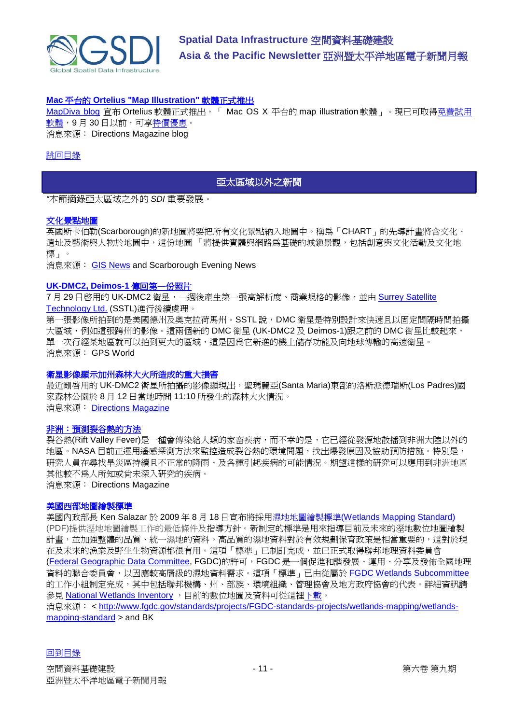

## **Mac** 平台的 **[Ortelius "Map Illustration"](http://apb.directionsmag.com/archives/6350-Mac-based-Ortelius-Map-Illustration-Software-Launches.html)** 軟體正式推出

[MapDiva blog](http://www.mapdiva.com/2009/08/ortelius-has-launched/) 宣布 Ortelius 軟體正式推出, 「 Mac OS X 平台的 map illustration 軟體」。現已可取[得免費試用](http://www.mapdiva.com/download/) [軟體,](http://www.mapdiva.com/download/)9月30日以前[,可享特價優惠。](http://www.mapdiva.com/products-page/)

消息來源: Directions Magazine blog

#### <span id="page-10-0"></span>[跳回目錄](#page-0-0)

# 亞太區域以外之新聞

*"*本節摘錄亞太區域之外的 *SDI* 重要發展。

#### [文化景點地圖](http://www.scarborougheveningnews.co.uk/news/Map-created-for-culture-hotspots.5518933.jp)

英國斯卡伯勒(Scarborough)的新地圖將要把所有文化景點納入地圖中。稱為「CHART」的先導計畫將含文化、 遺址及藝術與人物於地圖中,這份地圖「將提供實體與網路為基礎的城鎮景觀,包括創意與文化活動及文化地 標」。

消息來源: [GIS News](http://www.gisdevelopment.net/news/viewn.asp?id=GIS:N_lpnduhbyfj) and Scarborough Evening News

#### **[UK-DMC2, Deimos-1](http://www.gpsworld.com/gis/earth-imaging-and-remote-sensing/news/uk-dmc2-deimos-1-send-back-first-photos-8705)** 傳回第一份照片

7月 29 日啓用的 UK-DMC2 衛星,一週後產生第一張高解析度、商業規格的影像,並由 Surrey Satellite [Technology Ltd.](http://www.sst-us.com/) (SSTL)進行後續處理。

第一張影像所拍到的是美國德州及奧克拉荷馬州。SSTL 說, DMC 衛星是特別設計來快速且以固定間隔時間拍攝 大區域,例如這張跨州的影像。這兩個新的 DMC 衛星 (UK-DMC2 及 Deimos-1)跟之前的 DMC 衛星比較起來, 單一次行經某地區就可以拍到更大的區域,這是因為它新進的機上儲存功能及向地球傳輸的高速衛星。 消息來源: GPS World

#### 衛星影像顯示加州森林大火所造成的重大損害

最近剛啓用的 UK-DMC2 衛星所拍攝的影像顯現出, 聖瑪麗亞(Santa Maria)東部的洛斯派德瑞斯(Los Padres)國 家森林公園於 8 月 12 日當地時間 11:10 所發生的森林大火情況。 消息來源: [Directions Magazine](http://www.directionsmag.com/press.releases/?duty=Show&id=36171)

#### [非洲:預測裂谷熱的方法](http://www.directionsmag.com/article.php?article_id=3251)

裂谷熱(Rift Valley Fever)是一種會傳染給人類的家畜疾病,而不幸的是,它已經從發源地散播到非洲大陸以外的 地區。NASA 目前正運用遙感探測方法來監控造成裂谷熱的環境問題,找出爆發原因及協助預防措施。特別是, 研究人員在尋找旱災區持續且不正常的降雨、及各種引起疾病的可能情況。期望這樣的研究可以應用到非洲地區 其他較不為人所知或尚未深入研究的疾病。

消息來源: Directions Magazine

#### 美國西部地圖繪製標準

美國內政部長 Ken Salazar 於 2009 年 8 月 18 日宣布將採用濕地地圖繪製標準[\(Wetlands Mapping Standard\)](http://www.fgdc.gov/standards/projects/FGDC-standards-projects/wetlands-mapping/2009-08%20FGDC%20Wetlands%20Mapping%20Standard_final.pdf) (PDF)提供溼地地圖繪製工作的最低條件及指導方針。新制定的標準是用來指導目前及未來的溼地數位地圖繪製 計畫,並加強整體的品質、統一濕地的資料。高品質的濕地資料對於有效規劃保育政策是相當重要的,這對於現 在及未來的漁業及野生生物資源都很有用。這項「標準」已制訂完成,並已正式取[得聯邦地理資料委員會](http://www.fgdc.gov/&linkname=Federal+Geographic+Data+Committee) [\(Federal Geographic Data Committee,](http://www.fgdc.gov/&linkname=Federal+Geographic+Data+Committee) FGDC)的許可, FGDC是一個促進和諧發展、運用、分享及發佈全國地理 資料的聯合委員會,以因應較高層級的濕地資料需求。這項「標準」已由從屬於 [FGDC Wetlands Subcommittee](http://www.fws.gov/wetlands/wetlandslayer/wetlandssubcommittee.html) 的工作小組制定完成,其中包括聯邦機構、州、部族、環境組織、管理協會及地方政府協會的代表。詳細資訊請 參見 [National Wetlands Inventory](http://www.fws.gov/wetlands), 目前的數位地圖及資料可[從這裡下載。](http://www.fws.gov/wetlands/data)

消息來源: < [http://www.fgdc.gov/standards/projects/FGDC-standards-projects/wetlands-mapping/wetlands](http://www.fgdc.gov/standards/projects/FGDC-standards-projects/wetlands-mapping/wetlands-mapping-standard)[mapping-standard](http://www.fgdc.gov/standards/projects/FGDC-standards-projects/wetlands-mapping/wetlands-mapping-standard) > and BK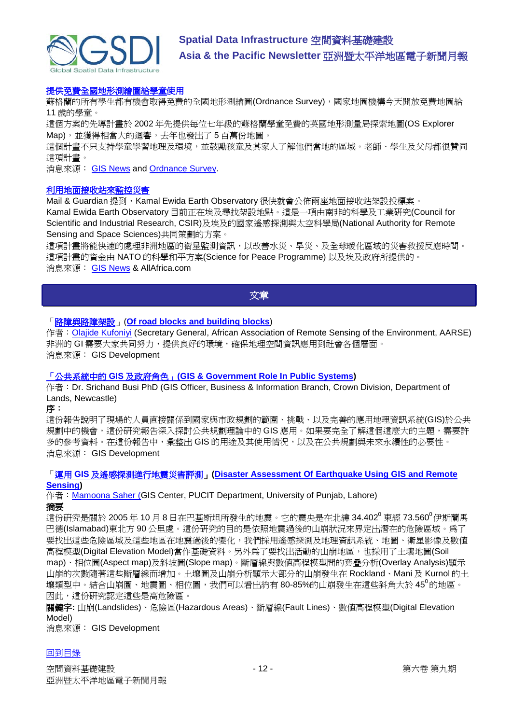

# [提供免費全國地形測繪圖給學童使](http://www.ordnancesurvey.co.uk/oswebsite/media/news/2009/august/freemaps.html)用

蘇格蘭的所有學生都有機會取得免費的全國地形測繪圖(Ordnance Survey), 國家地圖機構今天開放免費地圖給 11 歲的學童。

這個方案的先導計畫於 2002 年先提供每位七年級的蘇格蘭學童免費的英國地形測量局探索地圖(OS Explorer Map),並獲得相當大的迴響,去年也發出了 5 百萬份地圖。

這個計畫不只支持學童學習地理及環境,並鼓勵孩童及其家人了解他們當地的區域。老師、學生及父母都很贊同 這項計畫。

消息來源: [GIS News](http://www.gisdevelopment.net/news/viewn.asp?id=GIS:N_clqaoxjymz&Ezine=aug2409§ion=News) and [Ordnance Survey.](http://www.ordnancesurvey.co.uk/)

#### [利用地面接收站來監控災害](http://allafrica.com/stories/200908190422.html)

Mail & Guardian 提到, Kamal Ewida Earth Observatory 很快就會公佈兩座地面接收站架設投標案。 Kamal Ewida Earth Observatory 目前正在埃及尋找架設地點。這是一項由南非的科學及工業研究(Council for Scientific and Industrial Research, CSIR)及埃及的國家遙感探測與太空科學局(National Authority for Remote Sensing and Space Sciences)共同策劃的方案。

這項計畫將能快速的處理非洲地區的衛星監測資訊,以改善水災、旱災、及全球暖化區域的災害救援反應時間。 這項計畫的資金由 NATO 的科學和平方案(Science for Peace Programme) 以及埃及政府所提供的。 消息來源: [GIS News](http://www.gisdevelopment.net/news/viewn.asp?id=GIS:N_zqepawubkf&Ezine=aug2409§ion=News) & AllAfrica.com

### 文章

# <span id="page-11-0"></span>「路障與路障架設」(**[Of road blocks and building blocks](http://www.gisdevelopment.net/magazine/global/2009/july/18.htm)**)

作者: [Olajide Kufoniyi](mailto:jidekufoniyi@yahoo.com) (Secretary General, African Association of Remote Sensing of the Environment, AARSE) 非洲的 GI 需要大家共同努力,提供良好的環境,確保地理空間資訊應用到社會各個層面。 消息來源: GIS Development

### 「公共系統中的 **GIS** 及政府角色」**[\(GIS & Government Role In Public Systems\)](http://www.gisdevelopment.net/application/environment/pp/gis_gov.htm)**

作者:Dr. Srichand Busi PhD (GIS Officer, Business & Information Branch, Crown Division, Department of Lands, Newcastle)

序:

這份報告說明了現場的人員直接關係到國家與市政規劃的範圍、挑戰、以及完善的應用地理資訊系統(GIS)於公共 規劃中的機會,這份研究報告深入探討公共規劃理論中的 GIS 應用。如果要完全了解這個這麼大的主題,需要許 多的參考資料。在這份報告中,彙整出 GIS 的用途及其使用情況,以及在公共規劃與未來永續性的必要性。 消息來源: GIS Development

# 「運用 **GIS** 及遙感探測進行地震災害評測」**[\(Disaster Assessment Of Earthquake Using GIS and Remote](http://www.gisdevelopment.net/application/natural_hazards/earthquakes/mamoona.htm)  [Sensing\)](http://www.gisdevelopment.net/application/natural_hazards/earthquakes/mamoona.htm)**

作者: Mamoona Saher (GIS Center, PUCIT Department, University of Punjab, Lahore) 摘要

這份研究是關於 2005 年 10 月 8 日在巴基斯坦所發生的地震。它的震央是在北緯 34.402 $^{\rm 0}$  東經 73.560 $^{\rm 0}$ 伊斯蘭馬 巴德(Islamabad)東北方 90 公里處。這份研究的目的是依照地震過後的山崩狀況來界定出潛在的危險區域。為了 要找出這些危險區域及這些地區在地震過後的變化,我們採用遙感探測及地理資訊系統、地圖、衛星影像及數值 高程模型(Digital Elevation Model)當作基礎資料。另外爲了要找出活動的山崩地區,也採用了土壤地圖(Soil map)、相位圖(Aspect map)及斜坡圖(Slope map)。斷層線與數值高程模型間的套疊分析(Overlay Analysis)顯示 山崩的次數隨著這些斷層線而增加。土壤圖及山崩分析顯示大部分的山崩發生在 Rockland、Mani 及 Kurnol 的土 壤類型中。結合山崩圖、地震圖、相位圖,我們可以看出約有 80-85%的山崩發生在這些斜角大於 45<sup>0</sup>的地區。 因此,這份研究認定這些是高危險區。

關鍵字**:** 山崩(Landslides)、危險區(Hazardous Areas)、斷層線(Fault Lines)、數值高程模型(Digital Elevation Model)

消息來源: GIS Development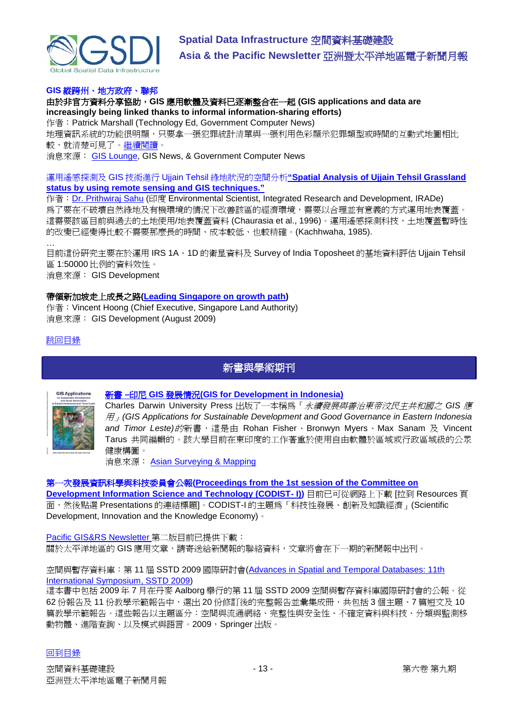

# **GIS** 縱跨州、地方政府、聯邦

由於非官方資料分享協助,**GIS** 應用軟體及資料已逐漸整合在一起 **(GIS applications and data are increasingly being linked thanks to informal information-sharing efforts)**

作者: Patrick Marshall (Technology Ed, Government Computer News)

地理資訊系統的功能很明顯,只要拿一張犯罪統計清單與一張利用色彩顯示犯罪類型或時間的互動式地圖相比 較,就清楚可見了[。繼續閱讀。](http://gcn.com/articles/2009/08/10/gis-integration-state-local-federal.aspx)

消息來源: [GIS Lounge,](http://gislounge.com/gis-integration-in-government/) GIS News, & Government Computer News

運用遙感探測及 GIS 技術進行 Ujjain Tehsil 綠地狀況的空間分析**["Spatial Analysis of Ujjain Tehsil Grassland](http://www.gisdevelopment.net/application/environment/conservation/prithwiraj_sahu.htm)  [status by using remote sensing and GIS techniques."](http://www.gisdevelopment.net/application/environment/conservation/prithwiraj_sahu.htm)**

作者: [Dr. Prithwiraj Sahu](mailto:prithwi2@rediffmail.com) (印度 Environmental Scientist, Integrated Research and Development, IRADe) 為了要在不破壞自然綠地及有機環境的情況下改善該區的經濟環境,需要以合理並有意義的方式運用地表覆蓋。 這需要該區目前與過去的土地使用/地表覆蓋資料 (Chaurasia et al., 1996)。運用遙感探測科技,土地覆蓋暫時性 的改變已經變得比較不需要那麼長的時間、成本較低、也較精確。(Kachhwaha, 1985).

… 目前這份研究主要在於運用 IRS 1A、1D 的衛星資料及 Survey of India Toposheet 的基地資料評估 Ujjain Tehsil 區 1:50000 比例的資料效性。

消息來源: GIS Development

#### 帶領新加坡走上成長之路**[\(Leading Singapore on growth path\)](http://www.gisdevelopment.net/magazine/global/2009/august/18.htm)**

作者: Vincent Hoong (Chief Executive, Singapore Land Authority) 消息來源: GIS Development (August 2009)

#### <span id="page-12-0"></span>[跳回目錄](#page-0-0)

# 新書與學術期刊



### 新書 **–**印尼 **GIS** 發展情況**[\(GIS for Development in Indonesia\)](http://www.cdu.edu.au/cdupress/books/gis-applications-for.htm)**

Charles Darwin University Press 出版了一本稱為「永續發展與善治東帝汶民主共和國之 *GIS* 應 用」*(GIS Applications for Sustainable Development and Good Governance in Eastern Indonesia and Timor Leste)*的新書,這是由 Rohan Fisher、Bronwyn Myers、Max Sanam 及 Vincent Tarus 共同編輯的。該大學目前在東印度的工作著重於使用自由軟體於區域或行政區域級的公眾 健康構圖。

消息來源: **[Asian Surveying & Mapping](http://www.asmmag.com/news/new-book-gis-for-development-in-indonesia)** 

# 第一次發展資訊科學與科技委員會公報**[\(Proceedings from the 1st session of the Committee on](http://www.uneca.org/codist/codist1.asp)**

**[Development Information Science and Technology \(CODIST-](http://www.uneca.org/codist/codist1.asp) I))** 目前已可從網路上下載 [拉到 Resources 頁 面,然後點選 Presentations 的連結標題]。CODIST-I 的主題為「科技性發展、創新及知識經濟」(Scientific Development, Innovation and the Knowledge Economy)。

[Pacific GIS&RS Newsletter](http://www.picisoc.org/tiki-download_file.php?fileId=132) 第二版目前已提供下載: 關於太平洋地區的 GIS 應用文章,請寄送給新聞報的聯絡資料,文章將會在下一期的新聞報中出刊。

### 空間與暫存資料庫:第 11 屆 SSTD 2009 國際研討會[\(Advances in Spatial and Temporal Databases: 11th](http://newsletter.directionsmag.com/link.php?M=145624&N=1930&L=27466)  [International Symposium, SSTD 2009\)](http://newsletter.directionsmag.com/link.php?M=145624&N=1930&L=27466)

這本書中包括 2009 年 7 月在丹麥 Aalborg 舉行的第 11 屆 SSTD 2009 空間與暫存資料庫國際研討會的公報。從 62份報告及 11 份教學示範報告中,選出 20 份修訂後的完整報告並彙集成冊,共包括 3 個主題、7 篇短文及 10 篇教學示範報告。這些報告以主題區分:空間與流通網絡、完整性與安全性、不確定資料與科技、分類與監測移 動物體、進階查詢、以及模式與語言。2009, Springer 出版。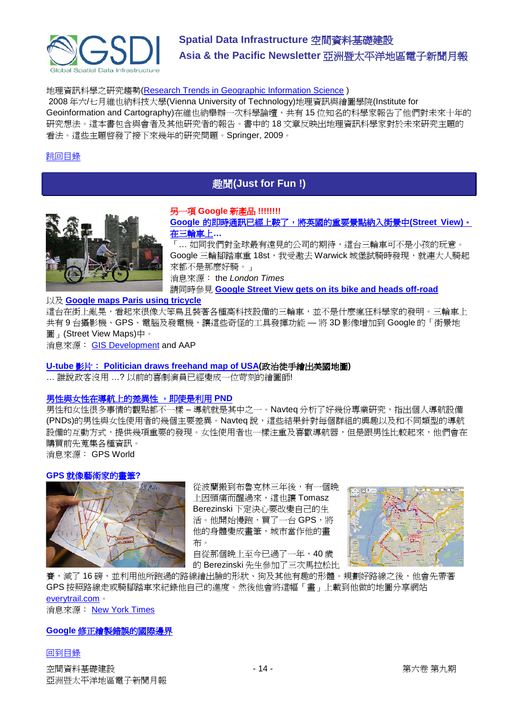

# 地理資訊科學之研究趨勢[\(Research Trends in Geographic Information Science](http://newsletter.directionsmag.com/link.php?M=145624&N=1930&L=27468) )

2008 年六/七月維也納科技大學(Vienna University of Technology)地理資訊與繪圖學院(Institute for Geoinformation and Cartography)在維也納舉辦一次科學論壇,共有15位知名的科學家報告了他們對未來十年的 研究想法。這本書包含與會者及其他研究者的報告。書中的 18 文章反映出地理資訊科學家對於未來研究主題的 看法。這些主題啟發了接下來幾年的研究問題。Springer, 2009。

#### <span id="page-13-0"></span>[跳回目錄](#page-0-0)

# 趣聞**(Just for Fun !)**



## 另一項 **Google** 新產品 **!!!!!!!! Google** [的即時通訊已經上鞍了,將英國的重要景點納入街景中](http://technology.timesonline.co.uk/tol/news/tech_and_web/article6737517.ece)**(Street View)**。

[在三輪車上](http://technology.timesonline.co.uk/tol/news/tech_and_web/article6737517.ece)**…** 「... 如同我們對全球最有遠見的公司的期待,這台三輪車可不是小孩的玩意。 Google 三輪腳踏車重 18st,我受激去 Warwick 城堡試騎時發現,就連大人騎起 來都不是那麼好騎。」

消息來源: the *London Times*

請同時參見 **[Google Street View gets on its bike and heads off-road](http://technology.timesonline.co.uk/tol/news/tech_and_web/article6702161.ece)**

#### 以及 **[Google maps Paris using tricycle](http://www.google.com/hostednews/ap/article/ALeqM5jhkQb2j2GX-YJcuJHM9Kd6UcMeyQD99U56S80)**

這台在街上亂晃,看起來很像大笨鳥且裝著各種高科技設備的三輪車,並不是什麼瘋狂科學家的發明。三輪車上 共有9台攝影機、GPS、電腦及發電機,讓這些奇怪的工具發揮功能 — 將 3D 影像增加到 Google 的「街景地 圖」(Street View Maps)中。 消息來源: [GIS Development](http://www.gisdevelopment.net/news/viewn.asp?id=GIS:N_twivgdmyqf&Ezine=aug1709§ion=News) and AAP

# **U-tube** 影片: **[Politician draws freehand map of USA\(](http://www.youtube.com/watch?v=2HfcrqXtxOM&eurl=http%3A%2F%2Fminnesotaindependent.com%2F41634%2Ffranken-begich-alaska-hawaii-map-draw-usa&feature=player_embedded)**政治徒手繪出美國地圖**)**

… 誰說政客沒用 …? 以前的喜劇演員已經變成一位苛刻的繪圖師!

### [男性與女性在導航上的差異性](http://www.gpsworld.com/consumer-oem/news/men-and-women-navigate-differently-even-with-pnds-8716) ,即使是利用 **PND**

男性和女性很多事情的觀點都不一樣 – 導航就是其中之一。Navteq 分析了好幾份專業研究,指出個人導航設備 (PNDs)的男性與女性使用者的幾個主要差異。Navteq 說,這些結果針對每個群組的興趣以及和不同類型的導航 設備的互動方式,提供幾項重要的發現。女性使用者也一樣注重及喜歡導航器,但是跟男性比較起來,他們會在 購買前先蒐集各種資訊。 消息來源: GPS World

#### **GPS** 就像藝術家的畫筆**?**



從波蘭搬到布魯克林三年後,有一個晚 上因頭痛而醒過來,這也讓 Tomasz Berezinski 下定決心要改變自己的生 活。他開始慢跑,買了一台 GPS,將 他的身體變成畫筆,城市當作他的畫 布。

自從那個晚上至今已過了一年,40 歲 的 Berezinski 先生參加了三次馬拉松比



賽,減了 16 磅,並利用他所跑過的路線繪出臉的形狀、狗及其他有趣的形體。規劃好路線之後,他會先帶著 GPS 按照路線走或騎腳踏車來紀錄他自己的進度。然後他會將這幅「畫」上載到他做的地圖分享網站 [everytrail.com](http://www.everytrail.com/profile.php?user_id=18531)。

消息來源: [New York Times](http://www.nytimes.com/2009/08/20/fashion/20GPS.html?ref=global-home)

### **Google** [修正繪製錯誤的國際邊界](http://www.gisdevelopment.net/news/viewn.asp?id=GIS:N_yuxdewnapb&Ezine=aug1709§ion=News)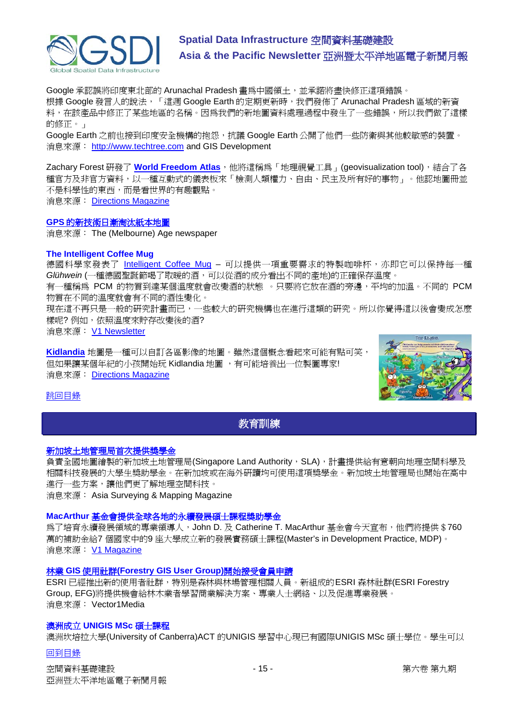

Google 承認誤將印度東北部的 Arunachal Pradesh 畫為中國領土,並承諾將盡快修正這項錯誤。 根據 Google 發言人的說法, 「這週 Google Earth 的定期更新時, 我們發佈了 Arunachal Pradesh 區域的新資 料,在該產品中修正了某些地區的名稱。因為我們的新地圖資料處理過程中發生了一些錯誤,所以我們做了這樣 的修正。」

Google Earth 之前也接到印度安全機構的抱怨,抗議 Google Earth 公開了他們一些防衛與其他較敏感的裝置。 消息來源: [http://www.techtree.com](http://tinyurl.com/lm5mnw) and GIS Development

Zachary Forest 研發了 [World Freedom Atlas](http://www.mcwetboy.net/maproom/2009/08/world_freedom_a.php), 他將這稱為「地理視覺工具」(geovisualization tool), 結合了各 種官方及非官方資料,以一種互動式的儀表板來「檢測人類權力、自由、民主及所有好的事物」。他認地圖冊並 不是科學性的東西,而是看世界的有趣觀點。 消息來源: [Directions Magazine](http://www.directionsmedia.net/newsletters.archive/index.php?ID=1468)

### **GPS** [的新技術日漸淘汰紙本地圖](http://www.theage.com.au/national/rumours-of-the-death-of-paper-maps-exaggerated-20090823-ev3j.html)

消息來源: The (Melbourne) Age newspaper

#### **The Intelligent Coffee Mug**

德國科學家發表了 [Intelligent Coffee Mug](http://www.spiegel.de/international/zeitgeist/0,1518,643702,00.html) – 可以提供一項重要需求的特製咖啡杯,亦即它可以保持每一種 *Glühwein* (一種德國聖誕節喝了取暖的酒,可以從酒的成分看出不同的產地)的正確保存溫度。

有一種稱為 PCM 的物質到達某個溫度就會改變酒的狀態 。只要將它放在酒的旁邊,平均的加溫。不同的 PCM 物質在不同的溫度就會有不同的酒性變化。

現在這不再只是一般的研究計畫而已,一些較大的研究機構也在進行這類的研究。所以你覺得這以後會變成怎麼 樣呢? 例如,依照溫度來貯存改變後的酒?

消息來源: [V1 Newsletter](http://vector1media.com/vectorone/?p=3482)

**[Kidlandia](http://www.kidlandia.com/)** 地圖是一種可以自訂各區影像的地圖。雖然這個概念看起來可能有點可笑, 但如果讓某個年紀的小孩開始玩 Kidlandia 地圖 ,有可能培養出一位製圖專家! 消息來源: [Directions Magazine](http://www.directionsmedia.net/newsletters.archive/index.php?ID=1476)



# <span id="page-14-0"></span>[跳回目錄](#page-0-0)

# 教育訓練

### [新加坡土地管理局首次提供獎學金](http://www.asmmag.com/news/sla-first-scholarship)

負責全國地圖繪製的新加坡土地管理局(Singapore Land Authority, SLA), 計畫提供給有意朝向地理空間科學及 相關科技發展的大學生獎助學金。在新加坡或在海外研讀均可使用這項獎學金。新加坡土地管理局也開始在高中 進行一些方案,讓他們更了解地理空間科技。

消息來源: Asia Surveying & Mapping Magazine

# **MacArthur** 基金會提供全球各地的永續發展碩士課程獎助學金

為了培育永續發展領域的專業領導人,John D. 及 Catherine T. MacArthur 基金會今天宣布,他們將提供 \$760 萬的補助金給7 個國家中的9 座大學成立新的發展實務碩士課程(Master's in Development Practice, MDP)。 消息來源: [V1 Magazine](http://www.vector1media.com/top-stories/corporate-news/macarthur-to-support-sustainable-development-master%92s-programs-around-the-world/)

# 林業 **GIS** 使用社群**[\(Forestry GIS User Group\)](http://www.vector1media.com/top-stories/corporate-news/forestry-gis-user-group-opens-for-membership/)**開始接受會員申請

ESRI 已經推出新的使用者社群,特別是森林與林場管理相關人員。新組成的ESRI 森林社群(ESRI Forestry Group, EFG)將提供機會給林木業者學習商業解決方案、專業人士網絡、以及促進專業發展。 消息來源: Vector1Media

#### 澳洲成立 **UNIGIS MSc** 碩士課程

澳洲坎培拉大學(University of Canberra)ACT 的UNIGIS 學習中心現已有國際UNIGIS MSc 碩士學位。學生可以

### [回到目錄](#page-0-0)

空間資料基礎建設 - インタン・コン・コン・コール - 15 - イン・コン・コン・コン・コン・コン 第六卷 第九期 亞洲暨太平洋地區電子新聞月報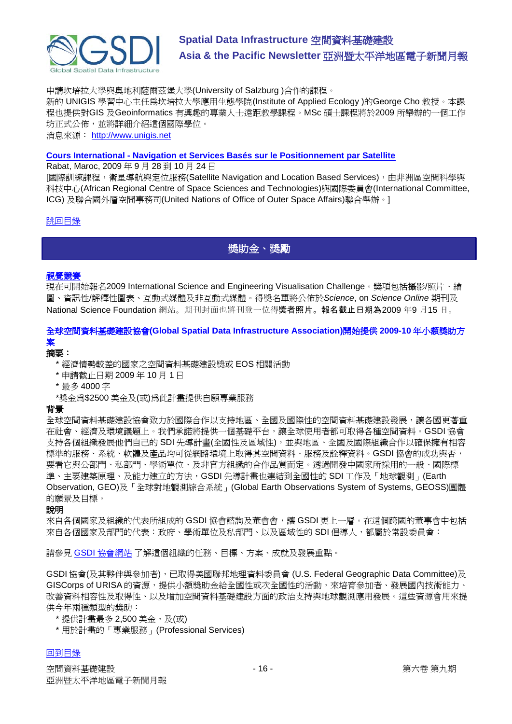

申請坎培拉大學與奧地利薩爾茲堡大學(University of Salzburg )合作的課程。

新的 UNIGIS 學習中心主任為坎培拉大學應用生態學院(Institute of Applied Ecology )的George Cho 教授。本課 程也提供對GIS 及Geoinformatics 有興趣的專業人士遠距教學課程。MSc 碩士課程將於2009 所舉辦的一個工作 坊正式公佈,並將詳細介紹這個國際學位。 消息來源: [http://www.unigis.net](http://www.unigis.net/)

**Cours International - [Navigation et Services Basés sur le Positionnement par Satellite](http://www.enssup.gov.ma/craste/index.php?option=com_content&task=view&id=29&Itemid=1)**

Rabat, Maroc, 2009 年 9 月 28 到 10 月 24 日

[國際訓練課程,衛星導航與定位服務(Satellite Navigation and Location Based Services),由非洲區空間科學與 科技中心(African Regional Centre of Space Sciences and Technologies)與國際委員會(International Committee, ICG) 及聯合國外層空間事務司(United Nations of Office of Outer Space Affairs)聯合舉辦。]

# <span id="page-15-0"></span>[跳回目錄](#page-0-0)

獎助金、獎勵

# [視覺競賽](http://www.nsf.gov/news/scivis)

現在可開始報名2009 International Science and Engineering Visualisation Challenge。獎項包括攝影/照片、繪 圖、資訊性/解釋性圖表、互動式媒體及非互動式媒體。得獎名單將公佈於*Science*, on *Science Online* 期刊及 National Science Foundation 網站。期刊封面也將刊登一位得獎者照片。 報名截止日期為2009 年9 月15 日。

# 全球空間資料基礎建設協會**(Global Spatial Data Infrastructure Association)**開始提供 **2009-10** 年小額獎助方 案

# 摘要:

- \* 經濟情勢較差的國家之空間資料基礎建設獎或 EOS 相關活動
- \* 申請截止日期 2009 年 10 月 1 日
- \* 最多 4000 字
- \*獎金為\$2500 美金及(或)為此計畫提供自願專業服務

## 背景

全球空間資料基礎建設協會致力於國際合作以支持地區、全國及國際性的空間資料基礎建設發展,讓各國更著重 在社會、經濟及環境議題上。我們承諾將提供一個基礎平台,讓全球使用者都可取得各種空間資料。GSDI 協會 支持各個組織發展他們自己的 SDI 先導計畫(全國性及區域性),並與地區、全國及國際組織合作以確保擁有相容 標準的服務、系統、軟體及產品均可從網路環境上取得其空間資料、服務及詮釋資料。GSDI 協會的成功與否, 要看它與公部門、私部門、學術單位、及非官方組織的合作品質而定。透過開發中國家所採用的一般、國際標 準、主要建築原理、及能力建立的方法,GSDI先導計書也連結到全國性的 SDI 工作及「地球觀測」(Earth Observation, GEO)及「全球對地觀測綜合系統」(Global Earth Observations System of Systems, GEOSS)團體 的願景及目標。

說明

來自各個國家及組織的代表所組成的 GSDI 協會諮詢及董會會,讓 GSDI 更上一層。在這個跨國的董事會中包括 來自各個國家及部門的代表:政府、學術單位及私部門、以及區域性的 SDI 倡導人,都屬於常設委員會:

請參見 GSDI [協會網站](http://gsdi.org/) 了解這個組織的任務、目標、方案、成就及發展重點。

GSDI 協會(及其夥伴與參加者),已取得美國聯邦地理資料委員會 (U.S. Federal Geographic Data Committee)及 GISCorps of URISA 的資源,提供小額獎助金給全國性或次全國性的活動,來培育參加者、發展國內技術能力、 改善資料相容性及取得性、以及增加空間資料基礎建設方面的政治支持與地球觀測應用發展。這些資源會用來提 供今年兩種類型的獎助:

- \* 提供計畫最多 2,500 美金,及(或)
- \* 用於計畫的「專業服務」(Professional Services)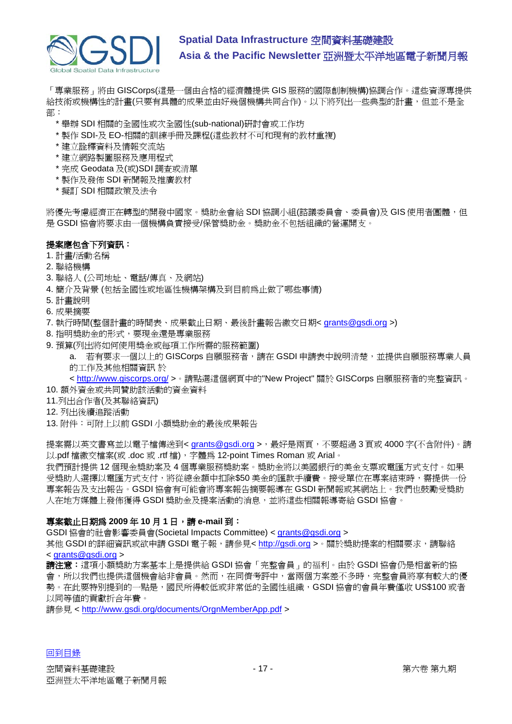

「專業服務」將由 GISCorps(這是一個由合格的經濟體提供 GIS 服務的國際創制機構)協調合作。這些資源專提供 給技術或機構性的計書(只要有具體的成果並由好幾個機構共同合作)。以下將列出一些典型的計畫,但並不是全 部:

- \* 舉辦 SDI 相關的全國性或次全國性(sub-national)研討會或工作坊
- \* 製作 SDI-及 EO-相關的訓練手冊及課程(這些教材不可和現有的教材重複)
- \* 建立詮釋資料及情報交流站
- \* 建立網路製圖服務及應用程式
- \* 完成 Geodata 及(或)SDI 調查或清單
- \* 製作及發佈 SDI 新聞報及推廣教材
- \* 擬訂 SDI 相關政策及法令

將優先考慮經濟正在轉型的開發中國家。獎助金會給 SDI 協調小組(諮議委員會、委員會)及 GIS 使用者團體,但 是 GSDI 協會將要求由一個機構負責接受/保管獎助金。獎助金不包括組織的營運開支。

# 提案應包含下列資訊:

#### 1. 計畫/活動名稱

- 2. 聯絡機構
- 3. 聯絡人 (公司地址、電話/傳真、及網站)
- 4. 簡介及背景 (包括全國性或地區性機構架構及到目前為止做了哪些事情)
- 5. 計畫說明
- 6. 成果摘要
- 7. 執行時間(整個計畫的時間表、成果截止日期、最後計畫報告繳交日期< [grants@gsdi.org](mailto:grants@gsdi.org) >)
- 8. 指明獎助金的形式,要現金還是專業服務
- 9. 預算(列出將如何使用獎金或每項工作所需的服務範圍)

a. 若有要求一個以上的 GISCorps 自願服務者,請在 GSDI 申請表中說明清楚,並提供自願服務專業人員 的工作及其他相關資訊 於

<<http://www.giscorps.org/> >。請點選這個網頁中的"New Project" 關於 GISCorps 自願服務者的完整資訊。

- 10. 額外資金或共同贊助該活動的資金資料
- 11.列出合作者(及其聯絡資訊)
- 12. 列出後續追蹤活動
- 13. 附件:可附上以前 GSDI 小額獎助金的最後成果報告

提案需以英文書寫並以電子檔傳送到< [grants@gsdi.org](mailto:grants@gsdi.org) >,最好是兩頁,不要超過3頁或 4000字(不含附件)。請 以.pdf 檔繳交檔案(或 .doc 或 .rtf 檔), 字體爲 12-point Times Roman 或 Arial。

我們預計提供 12 個現金獎助案及 4 個專業服務獎助案。獎助金將以美國銀行的美金支票或電匯方式支付。如果 受獎助人選擇以電匯方式支付,將從總金額中扣除\$50 美金的匯款手續費。接受單位在專案結束時,需提供一份 專案報告及支出報告。GSDI 協會有可能會將專案報告摘要報導在 GSDI 新聞報或其網站上。我們也鼓勵受獎助 人在地方媒體上發佈獲得 GSDI 獎助金及提案活動的消息,並將這些相關報導寄給 GSDI 協會。

### 專案截止日期為 **2009** 年 **10** 月 **1** 日,請 **e-mail** 到:

GSDI 協會的社會影響委員會(Societal Impacts Committee) < [grants@gsdi.org](mailto:grants@gsdi.org) >

其他 GSDI 的詳細資訊或欲申請 GSDI 雷子報,請參見< [http://gsdi.org](http://gsdi.org/) >。關於獎助提案的相關要求,請聯絡 < [grants@gsdi.org](mailto:grants@gsdi.org) >

請注意:這項小額獎助方案基本上是提供給 GSDI 協會「完整會員」的福利。由於 GSDI 協會仍是相當新的協 會,所以我們也提供這個機會給非會員。然而,在同儕考評中,當兩個方案差不多時,完整會員將享有較大的優 勢。在此要特別提到的一點是,國民所得較低或非常低的全國性組織,GSDI協會的會員年費僅收 US\$100 或者 以同等值的貢獻折合年費。

請參見 < [http://www.gsdi.org/documents/OrgnMemberApp.pdf](https://owa.unimelb.edu.au/exchweb/bin/redir.asp?URL=http://www.gsdi.org/documents/OrgnMemberApp.pdf) >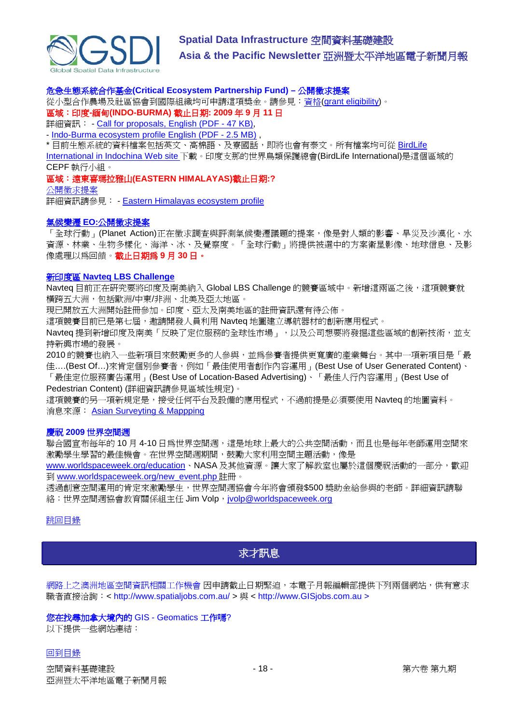

#### 危急生態系統合作基金**(Critical Ecosystem Partnership Fund) –** 公開徵求提案

從小型合作農場及社區協會到國際組織均可申請這項獎金。請參見:資格[\(grant eligibility\)](http://www.cepf.net/grants/Pages/eligibility.aspx)。 區域:印度**-**緬甸**(INDO-BURMA)** 截止日期**: 2009** 年 **9** 月 **11** 日

詳細資訊: - [Call for proposals, English \(PDF -](http://www.cepf.net/Documents/Final_Indochina_Call_for_LOIs_2_11Jun09.pdf) 47 KB),

- [Indo-Burma ecosystem profile English \(PDF -](http://www.cepf.net/Documents/final.indoburma_indochina.ep.pdf) 2.5 MB) ,

\* 目前生態系統的資料檔案包括英文、高棉語、及寮國話,即將也會有泰文。所有檔案均可從 BirdLife

[International in Indochina Web site](http://www.birdlifeindochina.org/cepf/eligibility-criteria) 下載。印度支那的世界鳥類保護總會(BirdLife International)是這個區域的 CEPF 執行小組。

區域:遠東喜瑪拉雅山**(EASTERN HIMALAYAS)**截止日期**:?** 

[公開徵求提案](http://www.cepf.net/grants/apply/Pages/default.aspx)

詳細資訊請參見: - [Eastern Himalayas ecosystem profile](http://www.cepf.net/where_we_work/regions/asia_pacific/eastern_himalayas/ecosystem_profile/Pages/default.aspx)

#### 氣候變遷 **EO:**[公開徵求提案](http://www.planet-action.org/web/134-call-for-projects.php)

「全球行動」(Planet Action)正在徵求調查與評測氣候變遷議題的提案,像是對人類的影響、旱災及沙漠化、水 資源、林業、生物多樣化、海洋、冰、及覺察度。「全球行動」將提供被選中的方案衛星影像、地球信息、及影 像處理以為回饋。截止日期為 **9** 月 **30** 日。

# 新印度區 **[Navteq LBS](http://www.lbschallenge.com/) Challenge**

Navteq 目前正在研究要將印度及南美納入 Global LBS Challenge 的競賽區域中。新增這兩區之後,這項競賽就 橫跨五大洲,包括歐洲/中東/非洲、北美及亞太地區。

現已開放五大洲開始註冊參加。印度、亞太及南美地區的註冊資訊還有待公佈。

這項競賽目前已是第七屆,邀請開發人員利用 Navteq 地圖建立導航器材的創新應用程式。

Navteq 提到新增印度及南美「反映了定位服務的全球性市場」,以及公司想要將發掘這些區域的創新技術,並支 持新興市場的發展。

2010 的競賽也納入一些新項目來鼓勵更多的人參與,並為參賽者提供更寬廣的產業舞台。其中一項新項目是「最 佳….(Best Of…)來肯定個別參賽者,例如「最佳使用者創作內容運用」(Best Use of User Generated Content)、

「最佳定位服務廣告運用」(Best Use of Location-Based Advertising)、「最佳人行內容運用」(Best Use of Pedestrian Content) (詳細資訊請參見區域性規定)。

這項競賽的另一項新規定是,接受任何平台及設備的應用程式,不過前提是必須要使用 Navteq 的地圖資料。 消息來源: [Asian Surveyting & Mappping](http://www.asmmag.com/news/new-india-region-for-navteq-lbs-challenge)

### 慶祝 **2009** 世界空間週

聯合國宣布每年的 10 月 4-10 日為世界空間週,這是地球上最大的公共空間活動,而且也是每年老師運用空間來 激勵學生學習的最佳機會。在世界空間週期間,鼓勵大家利用空間主題活動,像是

[www.worldspaceweek.org/education](http://www.worldspaceweek.org/education)、NASA 及其他資源。讓大家了解教室也屬於這個慶祝活動的一部分,歡迎 到 [www.worldspaceweek.org/new\\_event.php](http://www.worldspaceweek.org/new_event.php) 註冊。

透過創意空間運用的肯定來激勵學生,世界空間週協會今年將會頒發\$500 獎助金給參與的老師。詳細資訊請聯 絡:世界空間週協會教育關係組主任 Jim Volp, [jvolp@worldspaceweek.org](mailto:jvolp@worldspaceweek.org)

### <span id="page-17-0"></span>[跳回目錄](#page-0-0)

# 求才訊息

網路上之澳洲地區空間資訊相關工作機會 因申請截止日期緊迫,本電子月報編輯部提供下列兩個網站,供有意求 職者直接洽詢: < http://www.spatialjobs.com.au/ > 與 < http://www.GISjobs.com.au >

### 您在找尋加拿大境內的 GIS - Geomatics 工作嗎?

以下提供一些網站連結: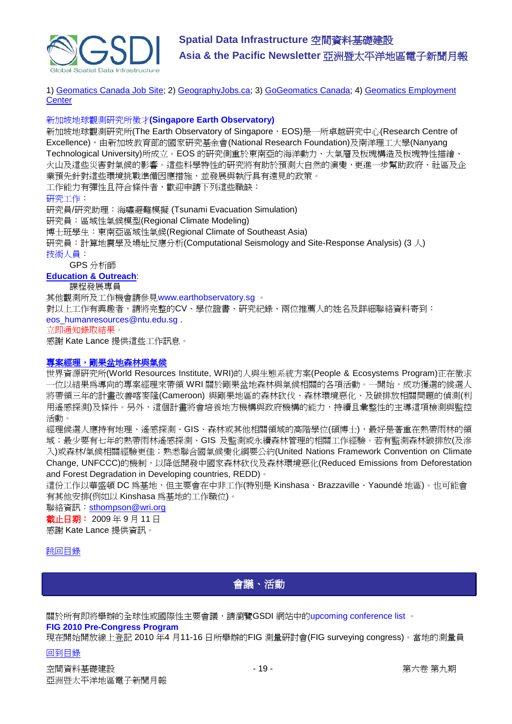

1) [Geomatics Canada Job Site;](http://geomaticscanada.com/jobs.cfm) 2) [GeographyJobs.ca;](http://www.geographyjobs.ca/) 3) [GoGeomatics Canada;](http://canada.gogeomatics.net/frmHome.aspx) 4) [Geomatics Employment](http://gisjobs.ca/)  **[Center](http://gisjobs.ca/)** 

#### 新加坡地球觀測研究所徵才**(Singapore Earth Observatory)**

新加坡地球觀測研究所(The Earth Observatory of Singapore, EOS)是一所卓越研究中心(Research Centre of Excellence),由新加坡教育部的國家研究基金會(National Research Foundation)及南洋理工大學(Nanyang Technological University)所成立。EOS 的研究側重於東南亞的海洋動力、大氣層及板塊構造及板塊特性描繪、 火山及這些災害對氣候的影響。這些科學特性的研究將有助於預測大自然的演變,更進一步幫助政府、社區及企 業預先針對這些環境挑戰準備因應措施,並發展與執行具有遠見的政策。 工作能力有彈性且符合條件者,歡迎申請下列這些職缺: 研究工作: 研究員/研究助理:海嘯避難模擬 (Tsunami Evacuation Simulation) 研究員:區域性氣候模型(Regional Climate Modeling) 博士班學生:東南亞區域性氣候(Regional Climate of Southeast Asia) 研究員:計算地震學及場址反應分析(Computational Seismology and Site-Response Analysis) (3 人) 技術人員: GPS 分析師

## **[Education & Outreach](http://www.earthobservatory.sg/careers/jobopenings_educationandoutreach.php)**:

課程發展專員

其他觀測所及工作機會請參見www.earthobservatory.sg 。

對以上工作有興趣者,請將完整的CV、學位證書、研究紀錄、兩位推薦人的姓名及詳細聯絡資料寄到: eos\_humanresources@ntu.edu.sg .

立即通知錄取結果。

感謝 Kate Lance 提供這些工作訊息。

### [專案經理,剛果盆地森林與氣候](http://www.wri.org/job/11158)

世界資源研究所(World Resources Institute, WRI)的人與生態系統方案(People & Ecosystems Program)正在徵求 一位以結果為導向的專案經理來帶領 WRI 關於剛果盆地森林與氣候相關的各項活動。一開始,成功獲選的候選人 將帶領三年的計畫改善喀麥隆(Cameroon) 與剛果地區的森林砍伐、森林環境惡化、及碳排放相關問題的偵測(利 用遙感探測)及條件。另外,這個計畫將會培養地方機構與政府機構的能力,持續且彙整性的主導這項檢測與監控 活動。

經理候選人應持有地理、遙感探測、GIS、森林或其他相關領域的高階學位(碩博士),最好是著重在熱帶雨林的領 域;最少要有七年的熱帶雨林遙感探測、GIS 及監測或永續森林管理的相關工作經驗。若有監測森林碳排放(及滲 入)或森林/氣候相關經驗更佳;熟悉聯合國氣候變化綱要公約(United Nations Framework Convention on Climate Change, UNFCCC)的機制,以降低開發中國家森林砍伐及森林環境惡化(Reduced Emissions from Deforestation and Forest Degradation in Developing countries, REDD)。

這份工作以華盛頓 DC 為基地,但主要會在中非工作(特別是 Kinshasa、Brazzaville、Yaoundé 地區)。也可能會 有其他安排(例如以 Kinshasa 為基地的工作職位)。

### 聯絡資訊: [sthompson@wri.org](mailto:sthompson@wri.org)

截止日期: 2009 年 9 月 11 日 感謝 Kate Lance 提供資訊。

#### <span id="page-18-0"></span>[跳回目錄](#page-0-0)

會議、活動

關於所有即將舉辦的全球性或國際性主要會議,請瀏覽GSDI 網站中的upcoming conference list 。

#### **FIG 2010 Pre-Congress Program**

現在開始開放線上登記 2010 年4 月11-16 日所舉辦的FIG 測量研討會(FIG surveying congress)。當地的測量員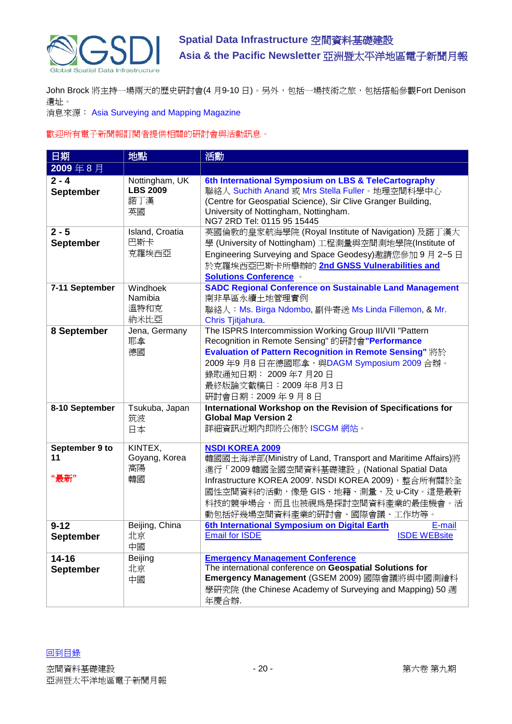

John Brock 將主持一場兩天的歷史研討會(4月9-10日)。另外,包括一場技術之旅,包括搭船參觀Fort Denison 遺址。

消息來源: Asia Surveying and Mapping Magazine

# 歡迎所有電子新聞報訂閱者提供相關的研討會與活動訊息。

| 日期                            | 地點                                             | 活動                                                                                                                                                                                                                                                                                        |
|-------------------------------|------------------------------------------------|-------------------------------------------------------------------------------------------------------------------------------------------------------------------------------------------------------------------------------------------------------------------------------------------|
| 2009年8月                       |                                                |                                                                                                                                                                                                                                                                                           |
| $2 - 4$<br><b>September</b>   | Nottingham, UK<br><b>LBS 2009</b><br>諾丁漢<br>英國 | 6th International Symposium on LBS & TeleCartography<br>聯絡人 Suchith Anand 或 Mrs Stella Fuller。地理空間科學中心<br>(Centre for Geospatial Science), Sir Clive Granger Building,<br>University of Nottingham, Nottingham.<br>NG7 2RD Tel: 0115 95 15445                                             |
| $2 - 5$<br><b>September</b>   | Island, Croatia<br>巴斯卡<br>克羅埃西亞                | 英國倫敦的皇家航海學院 (Royal Institute of Navigation) 及諾丁漢大<br>學 (University of Nottingham) 工程測量與空間測地學院(Institute of<br>Engineering Surveying and Space Geodesy)邀請您參加 9月 2~5日<br>於克羅埃西亞巴斯卡所舉辦的 2nd GNSS Vulnerabilities and<br><b>Solutions Conference </b>                                         |
| 7-11 September                | Windhoek<br>Namibia<br>溫特和克<br>納米比亞            | <b>SADC Regional Conference on Sustainable Land Management</b><br>南非旱區永續土地管理實例<br>聯絡人: Ms. Birga Ndombo, 副件寄送 Ms Linda Fillemon, & Mr.<br>Chris Tjitjahura.                                                                                                                               |
| 8 September                   | Jena, Germany<br>耶拿<br>德國                      | The ISPRS Intercommission Working Group III/VII "Pattern<br>Recognition in Remote Sensing" 的研討會"Performance<br><b>Evaluation of Pattern Recognition in Remote Sensing" 將於</b><br>2009年9月8日在德國耶拿, 與DAGM Symposium 2009合辦。<br>錄取通知日期: 2009年7月20日<br>最終版論文截稿日: 2009年8月3日<br>研討會日期: 2009年9月8日 |
| 8-10 September                | Tsukuba, Japan<br>筑波<br>日本                     | International Workshop on the Revision of Specifications for<br><b>Global Map Version 2</b><br>詳細資訊近期內即將公佈於 ISCGM 網站。                                                                                                                                                                     |
| September 9 to<br>11<br>"最新"  | KINTEX,<br>Goyang, Korea<br>高陽<br>韓國           | <b>NSDI KOREA 2009</b><br>韓國國土海洋部(Ministry of Land, Transport and Maritime Affairs)將<br>進行「2009 韓國全國空間資料基礎建設」(National Spatial Data<br>Infrastructure KOREA 2009'. NSDI KOREA 2009), 整合所有關於全                                                                                              |
|                               |                                                | 國性空間資料的活動,像是 GIS、地籍、測量、及 u-City。這是最新<br>科技的競爭場合,而且也被視為是探討空間資料產業的最佳機會。活<br>動包括好幾場空間資料產業的研討會、國際會議、工作坊等。                                                                                                                                                                                     |
| $9 - 12$<br><b>September</b>  | Beijing, China<br>北京<br>中國                     | 6th International Symposium on Digital Earth<br>E-mail<br><b>Email for ISDE</b><br><b>ISDE WEBsite</b>                                                                                                                                                                                    |
| $14 - 16$<br><b>September</b> | Beijing<br>北京<br>中國                            | <b>Emergency Management Conference</b><br>The international conference on Geospatial Solutions for<br>Emergency Management (GSEM 2009) 國際會議將與中國測繪科<br>學研究院 (the Chinese Academy of Surveying and Mapping) 50 週<br>年慶合辦.                                                                   |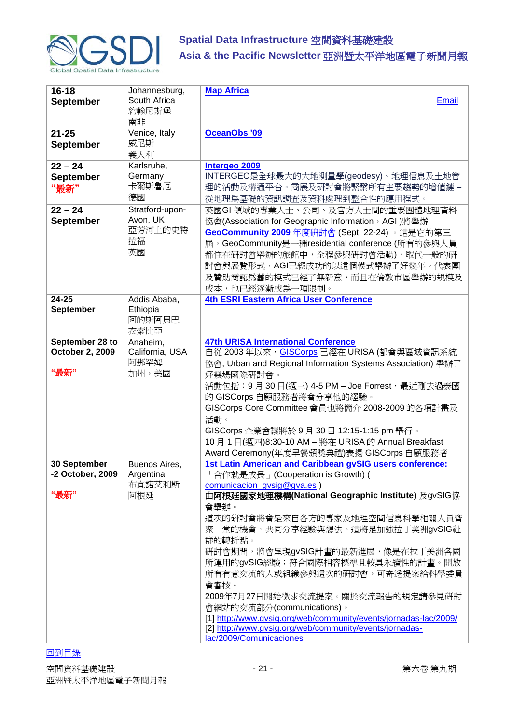

| $16 - 18$<br><b>September</b>              | Johannesburg,<br>South Africa                      | <b>Map Africa</b><br><b>Email</b>                                                                                                                                                                                                                                                                                                                                                                                                                                                                                                                                                                                      |
|--------------------------------------------|----------------------------------------------------|------------------------------------------------------------------------------------------------------------------------------------------------------------------------------------------------------------------------------------------------------------------------------------------------------------------------------------------------------------------------------------------------------------------------------------------------------------------------------------------------------------------------------------------------------------------------------------------------------------------------|
|                                            | 約翰尼斯堡<br>南非                                        |                                                                                                                                                                                                                                                                                                                                                                                                                                                                                                                                                                                                                        |
| $21 - 25$                                  | Venice, Italy                                      | <b>OceanObs '09</b>                                                                                                                                                                                                                                                                                                                                                                                                                                                                                                                                                                                                    |
| September                                  | 威尼斯<br>義大利                                         |                                                                                                                                                                                                                                                                                                                                                                                                                                                                                                                                                                                                                        |
| $22 - 24$<br><b>September</b>              | Karlsruhe,<br>Germany                              | Intergeo 2009<br>INTERGEO是全球最大的大地測量學(geodesy)、地理信息及土地管                                                                                                                                                                                                                                                                                                                                                                                                                                                                                                                                                                 |
| "最新"                                       | 卡爾斯魯厄<br>德國                                        | 理的活動及溝通平台。商展及研討會將緊繫所有主要趨勢的增值鏈-<br>從地理爲基礎的資訊調査及資料處理到整合性的應用程式。                                                                                                                                                                                                                                                                                                                                                                                                                                                                                                                                                           |
| $22 - 24$<br><b>September</b>              | Stratford-upon-<br>Avon, UK<br>亞芳河上的史特<br>拉福<br>英國 | 英國GI 領域的專業人士、公司、及官方人士間的重要團體地理資料<br>協會(Association for Geographic Information, AGI) 將舉辦<br>GeoCommunity 2009 年度研討會 (Sept. 22-24) 。這是它的第三<br>屆, GeoCommunity是一種residential conference (所有的參與人員<br>都住在研討會舉辦的旅館中,全程參與研討會活動),取代一般的研<br>討會與展覽形式, AGI已經成功的以這個模式舉辦了好幾年。代表團<br>及贊助商認爲舊的模式已經了無新意,而且在倫敦市區舉辦的規模及<br>成本,也已經逐漸成為一項限制。                                                                                                                                                                                                                                                                                                |
| $24 - 25$<br><b>September</b>              | Addis Ababa,<br>Ethiopia<br>阿的斯阿貝巴<br>衣索比亞         | <b>4th ESRI Eastern Africa User Conference</b>                                                                                                                                                                                                                                                                                                                                                                                                                                                                                                                                                                         |
| September 28 to<br>October 2, 2009<br>"最新" | Anaheim,<br>California, USA<br>阿那罕姆<br>加州,美國       | <b>47th URISA International Conference</b><br>自從 2003年以來, GISCorps 已經在 URISA (都會與區域資訊系統<br>協會, Urban and Regional Information Systems Association) 舉辦了<br>好幾場國際研討會。<br>活動包括: 9月 30日(週三) 4-5 PM-Joe Forrest, 最近剛去過泰國<br>的 GISCorps 自願服務者將會分享他的經驗。<br>GISCorps Core Committee 會員也將簡介 2008-2009 的各項計畫及<br>活動。<br>GISCorps 企業會議將於 9月 30日 12:15-1:15 pm 舉行。<br>10月1日(週四)8:30-10 AM - 將在 URISA 的 Annual Breakfast<br>Award Ceremony(年度早餐頒獎典禮)表揚 GISCorps 自願服務者                                                                                                                                                               |
| 30 September<br>-2 October, 2009<br>"最新"   | Buenos Aires,<br>Argentina<br>布宜諾艾利斯<br>阿根廷        | 1st Latin American and Caribbean gvSIG users conference:<br>「合作就是成長」(Cooperation is Growth) (<br>comunicacion_gvsig@gva.es)<br>由阿根廷國家地理機構(National Geographic Institute) 及gvSIG協<br>會舉辦。<br>這次的硏討會將會是來自各方的專家及地理空間信息科學相關人員齊<br>聚一堂的機會,共同分享經驗與想法。這將是加強拉丁美洲gvSIG社<br>群的轉折點。<br>研討會期間,將會呈現gvSIG計畫的最新進展,像是在拉丁美洲各國<br>所運用的gvSIG經驗;符合國際相容標準且較具永續性的計畫。開放<br>所有有意交流的人或組織參與這次的硏討會,可寄送提案給科學委員<br>會審核。<br>2009年7月27日開始徵求交流提案。關於交流報告的規定請參見硏討<br>會網站的交流部分(communications)。<br>[1] http://www.gvsig.org/web/community/events/jornadas-lac/2009/<br>[2] http://www.gvsig.org/web/community/events/jornadas-<br>lac/2009/Comunicaciones |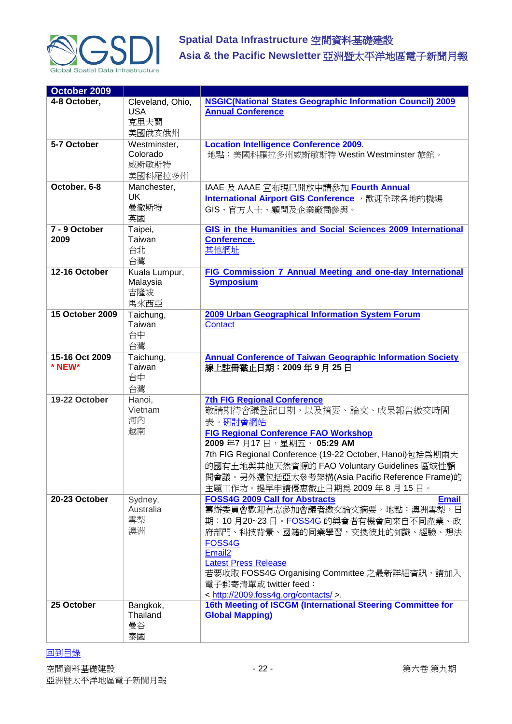

| October 2009             |                     |                                                                                           |
|--------------------------|---------------------|-------------------------------------------------------------------------------------------|
| 4-8 October,             | Cleveland, Ohio,    | <b>NSGIC(National States Geographic Information Council) 2009</b>                         |
|                          | <b>USA</b>          | <b>Annual Conference</b>                                                                  |
|                          | 克里夫蘭                |                                                                                           |
|                          | 美國俄亥俄州              |                                                                                           |
| 5-7 October              | Westminster,        | <b>Location Intelligence Conference 2009.</b>                                             |
|                          | Colorado            | 地點:美國科羅拉多州威斯敏斯特 Westin Westminster 旅館。                                                    |
|                          | 威斯敏斯特               |                                                                                           |
| October. 6-8             | 美國科羅拉多州             |                                                                                           |
|                          | Manchester,<br>UK   | IAAE 及 AAAE 宣布現已開放申請參加 Fourth Annual                                                      |
|                          | 曼徹斯特                | International Airport GIS Conference, 歡迎全球各地的機場                                           |
|                          | 英國                  | GIS、官方人士、顧問及企業廠商參與。                                                                       |
| 7 - 9 October            | Taipei,             | GIS in the Humanities and Social Sciences 2009 International                              |
| 2009                     | Taiwan              | Conference.                                                                               |
|                          | 台北                  | 其他網址                                                                                      |
|                          | 台灣                  |                                                                                           |
| 12-16 October            | Kuala Lumpur,       | FIG Commission 7 Annual Meeting and one-day International                                 |
|                          | Malaysia            | <b>Symposium</b>                                                                          |
|                          | 吉隆坡                 |                                                                                           |
|                          | 馬來西亞                |                                                                                           |
| 15 October 2009          | Taichung,           | 2009 Urban Geographical Information System Forum                                          |
|                          | Taiwan              | Contact                                                                                   |
|                          | 台中                  |                                                                                           |
|                          | 台灣                  |                                                                                           |
| 15-16 Oct 2009<br>* NEW* | Taichung,<br>Taiwan | <b>Annual Conference of Taiwan Geographic Information Society</b><br>線上註冊截止日期: 2009年9月25日 |
|                          | 台中                  |                                                                                           |
|                          | 台灣                  |                                                                                           |
| 19-22 October            | Hanoi,              | <b>7th FIG Regional Conference</b>                                                        |
|                          | Vietnam             | 敬請期待會議登記日期,以及摘要、論文、成果報告繳交時間                                                               |
|                          | 河內                  | 表。研討會網站                                                                                   |
|                          | 越南                  | <b>FIG Regional Conference FAO Workshop</b>                                               |
|                          |                     | 2009年7月17日,星期五,05:29 AM                                                                   |
|                          |                     | 7th FIG Regional Conference (19-22 October, Hanoi)包括為期兩天                                  |
|                          |                     | 的國有土地與其他天然資源的 FAO Voluntary Guidelines 區域性顧                                               |
|                          |                     | 問會議。另外還包括亞太參考架構(Asia Pacific Reference Frame)的                                            |
|                          |                     | 主題工作坊。提早申請優惠截止日期為 2009年8月15日。                                                             |
| 20-23 October            | Sydney,             | <b>FOSS4G 2009 Call for Abstracts</b><br><b>Email</b>                                     |
|                          | Australia           | 籌辦委員會歡迎有志參加會議者繳交論文摘要。地點:澳洲雪梨,日                                                            |
|                          | 雪梨                  | 期:10月20~23日。FOSS4G 的與會者有機會向來自不同產業、政                                                       |
|                          | 澳洲                  | 府部門、科技背景、國籍的同業學習,交換彼此的知識、經驗、想法                                                            |
|                          |                     | FOSS4G                                                                                    |
|                          |                     | Email <sub>2</sub>                                                                        |
|                          |                     | <b>Latest Press Release</b>                                                               |
|                          |                     | 若要收取 FOSS4G Organising Committee 之最新詳細資訊,請加入<br>電子郵寄清單或 twitter feed:                     |
|                          |                     | < http://2009.foss4g.org/contacts/ >.                                                     |
| 25 October               | Bangkok,            | 16th Meeting of ISCGM (International Steering Committee for                               |
|                          | Thailand            | <b>Global Mapping)</b>                                                                    |
|                          | 曼谷                  |                                                                                           |
|                          | 泰國                  |                                                                                           |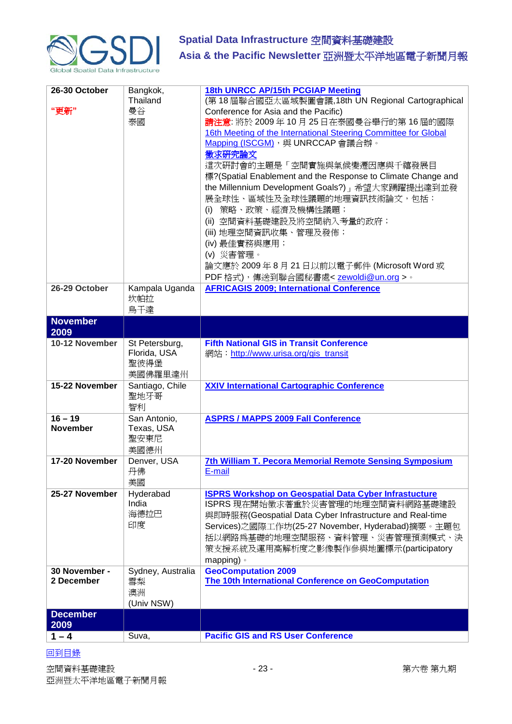

| 26-30 October<br>"更新"        | Bangkok,<br>Thailand<br>曼谷<br>泰國                  | <b>18th UNRCC AP/15th PCGIAP Meeting</b><br>(第18屆聯合國亞太區域製圖會議,18th UN Regional Cartographical<br>Conference for Asia and the Pacific)<br>請注意: 將於 2009年 10月 25日在泰國曼谷舉行的第 16 屆的國際<br>16th Meeting of the International Steering Committee for Global<br>Mapping (ISCGM), 與 UNRCCAP 會議合辦。<br>徵求研究論文<br>這次研討會的主題是「空間實施與氣候變遷因應與千禧發展目<br>標?(Spatial Enablement and the Response to Climate Change and<br>the Millennium Development Goals?)   希望大家踴躍提出達到並發<br>展全球性、區域性及全球性議題的地理資訊技術論文,包括:<br>策略、政策、經濟及機構性議題;<br>(i)<br>(ii) 空間資料基礎建設及將空間納入考量的政府;<br>(iii) 地理空間資訊收集、管理及發佈;<br>(iv) 最佳實務與應用;<br>(v) 災害管理。<br>論文應於 2009年 8月 21 日以前以電子郵件 (Microsoft Word 或<br>PDF格式),傳送到聯合國秘書處 <zewoldi@un.org>。</zewoldi@un.org> |
|------------------------------|---------------------------------------------------|--------------------------------------------------------------------------------------------------------------------------------------------------------------------------------------------------------------------------------------------------------------------------------------------------------------------------------------------------------------------------------------------------------------------------------------------------------------------------------------------------------------------------------------------------------------------------------------------------------------------------------------------------------------------------------------------------------|
| 26-29 October                | Kampala Uganda<br>坎帕拉<br>烏干達                      | <b>AFRICAGIS 2009; International Conference</b>                                                                                                                                                                                                                                                                                                                                                                                                                                                                                                                                                                                                                                                        |
| <b>November</b><br>2009      |                                                   |                                                                                                                                                                                                                                                                                                                                                                                                                                                                                                                                                                                                                                                                                                        |
| 10-12 November               | St Petersburg,<br>Florida, USA<br>聖彼得堡<br>美國佛羅里達州 | <b>Fifth National GIS in Transit Conference</b><br>網站: http://www.urisa.org/gis transit                                                                                                                                                                                                                                                                                                                                                                                                                                                                                                                                                                                                                |
| 15-22 November               | Santiago, Chile<br>聖地牙哥<br>智利                     | <b>XXIV International Cartographic Conference</b>                                                                                                                                                                                                                                                                                                                                                                                                                                                                                                                                                                                                                                                      |
| $16 - 19$<br><b>November</b> | San Antonio,<br>Texas, USA<br>聖安東尼<br>美國德州        | <b>ASPRS / MAPPS 2009 Fall Conference</b>                                                                                                                                                                                                                                                                                                                                                                                                                                                                                                                                                                                                                                                              |
| 17-20 November               | Denver, USA<br>丹佛<br>美國                           | 7th William T. Pecora Memorial Remote Sensing Symposium<br>E-mail                                                                                                                                                                                                                                                                                                                                                                                                                                                                                                                                                                                                                                      |
| 25-27 November               | Hyderabad<br>India<br>海德拉巴<br>印度                  | <b>ISPRS Workshop on Geospatial Data Cyber Infrastucture</b><br>ISPRS 現在開始徵求著重於災害管理的地理空間資料網路基礎建設<br>與即時服務(Geospatial Data Cyber Infrastructure and Real-time<br>Services)之國際工作坊(25-27 November, Hyderabad)摘要。主題包<br>括以網路爲基礎的地理空間服務、資料管理、災害管理預測模式、決<br>策支援系統及運用高解析度之影像製作參與地圖標示(participatory<br>mapping) $\circ$                                                                                                                                                                                                                                                                                                                                                                                        |
| 30 November -<br>2 December  | Sydney, Australia<br>雪梨<br>澳洲<br>(Univ NSW)       | <b>GeoComputation 2009</b><br>The 10th International Conference on GeoComputation                                                                                                                                                                                                                                                                                                                                                                                                                                                                                                                                                                                                                      |
| <b>December</b><br>2009      |                                                   |                                                                                                                                                                                                                                                                                                                                                                                                                                                                                                                                                                                                                                                                                                        |
| $1 - 4$                      | Suva,                                             | <b>Pacific GIS and RS User Conference</b>                                                                                                                                                                                                                                                                                                                                                                                                                                                                                                                                                                                                                                                              |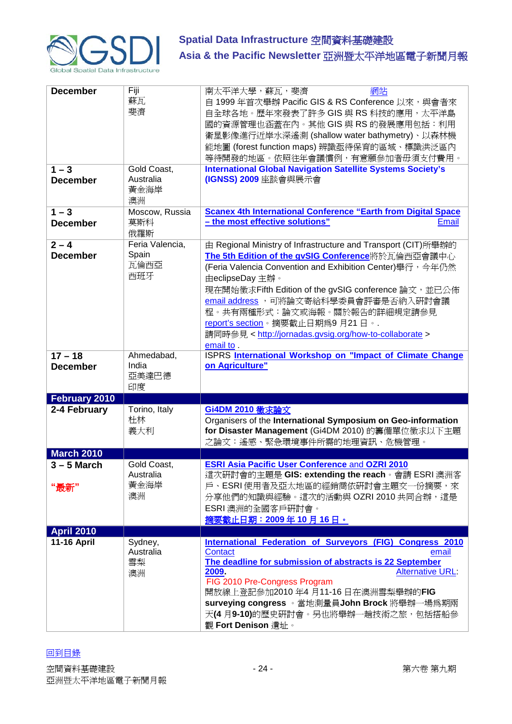

| <b>December</b>              | Fiji<br>蘇瓦<br>斐濟                        | 南太平洋大學,蘇瓦,斐濟<br>網站<br>自 1999年首次舉辦 Pacific GIS & RS Conference 以來,與會者來<br>自全球各地。歷年來發表了許多 GIS 與 RS 科技的應用,太平洋島<br>國的資源管理也涵蓋在內。其他 GIS 與 RS 的發展應用包括:利用<br>衛星影像進行近岸水深遙測 (shallow water bathymetry)、以森林機<br>能地圖 (forest function maps) 辨識亟待保育的區域、標識洪泛區內<br>等待開發的地區。依照往年會議慣例,有意願參加者毋須支付費用。                                                                                                                                                            |
|------------------------------|-----------------------------------------|-----------------------------------------------------------------------------------------------------------------------------------------------------------------------------------------------------------------------------------------------------------------------------------------------------------------------------------------------------------------------------------------------------------------------------------------------|
| $1 - 3$<br><b>December</b>   | Gold Coast,<br>Australia<br>黃金海岸<br>澳洲  | <b>International Global Navigation Satellite Systems Society's</b><br>(IGNSS) 2009 座談會與展示會                                                                                                                                                                                                                                                                                                                                                    |
| $1 - 3$<br><b>December</b>   | Moscow, Russia<br>莫斯科<br>俄羅斯            | <b>Scanex 4th International Conference "Earth from Digital Space</b><br>- the most effective solutions"<br><b>Email</b>                                                                                                                                                                                                                                                                                                                       |
| $2 - 4$<br><b>December</b>   | Feria Valencia,<br>Spain<br>瓦倫西亞<br>西班牙 | 由 Regional Ministry of Infrastructure and Transport (CIT) 所舉辦的<br>The 5th Edition of the gvSIG Conference將於瓦倫西亞會議中心<br>(Feria Valencia Convention and Exhibition Center) 舉行, 今年仍然<br>由eclipseDay 主辦。<br>現在開始徵求Fifth Edition of the gvSIG conference 論文, 並已公佈<br>email address, 可將論文寄給科學委員會評審是否納入研討會議<br>程。共有兩種形式:論文或海報。關於報告的詳細規定請參見<br>report's section。摘要截止日期為9月21日。.<br>請同時參見 < http://jornadas.gvsig.org/how-to-collaborate ><br>email to. |
| $17 - 18$<br><b>December</b> | Ahmedabad,<br>India<br>亞美達巴德<br>印度      | ISPRS International Workshop on "Impact of Climate Change<br>on Agriculture"                                                                                                                                                                                                                                                                                                                                                                  |
| February 2010                |                                         |                                                                                                                                                                                                                                                                                                                                                                                                                                               |
| 2-4 February                 | Torino, Italy<br>杜林<br>義大利              | <b>Gi4DM 2010 徵求論文</b><br>Organisers of the International Symposium on Geo-information<br>for Disaster Management (Gi4DM 2010) 的籌備單位徵求以下主題<br>之論文:遙感、緊急環境事件所需的地理資訊、危機管理。                                                                                                                                                                                                                                                                      |
| <b>March 2010</b>            |                                         |                                                                                                                                                                                                                                                                                                                                                                                                                                               |
| $3 - 5$ March<br>"最新"        | Gold Coast,<br>Australia<br>黃金海岸<br>澳洲  | <b>ESRI Asia Pacific User Conference and OZRI 2010</b><br>這次硏討會的主題是 GIS: extending the reach。會請 ESRI 澳洲客<br>戶、ESRI使用者及亞太地區的經銷商依研討會主題交一份摘要,來<br>分享他們的知識與經驗。這次的活動與 OZRI 2010 共同合辦,這是<br>ESRI 澳洲的全國客戶研討會。<br>摘要截止日期: 2009年10月16日。                                                                                                                                                                                                                |
| <b>April 2010</b>            |                                         |                                                                                                                                                                                                                                                                                                                                                                                                                                               |
| <b>11-16 April</b>           | Sydney,<br>Australia<br>雪梨<br>澳洲        | <b>International Federation of Surveyors (FIG) Congress 2010</b><br>Contact<br>email<br>The deadline for submission of abstracts is 22 September<br><b>Alternative URL:</b><br>2009.<br>FIG 2010 Pre-Congress Program<br>開放線上登記參加2010年4月11-16日在澳洲雪梨舉辦的FIG<br>surveying congress 。當地測量員John Brock 將舉辦一場爲期兩<br>天(4月9-10)的歷史硏討會。另也將舉辦一趟技術之旅,包括搭船參<br>觀 Fort Denison 遺址。                                                                          |